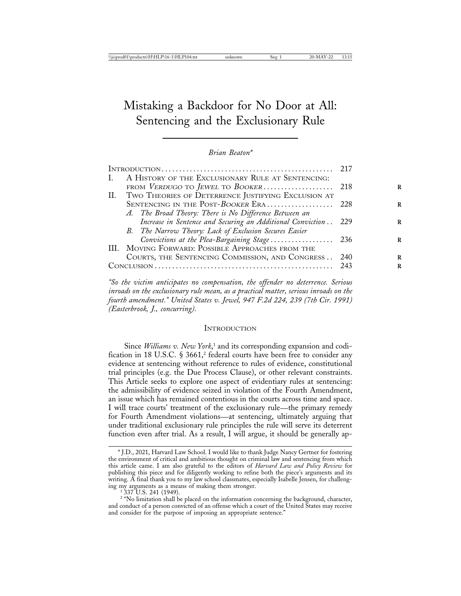# Mistaking a Backdoor for No Door at All: Sentencing and the Exclusionary Rule

*Brian Beaton\**

| INTRODUCTION |                                                            | 217  |
|--------------|------------------------------------------------------------|------|
| L.           | A HISTORY OF THE EXCLUSIONARY RULE AT SENTENCING:          |      |
|              |                                                            |      |
|              | II. TWO THEORIES OF DETERRENCE JUSTIFYING EXCLUSION AT     |      |
|              | SENTENCING IN THE POST-BOOKER ERA 228                      |      |
|              | A. The Broad Theory: There is No Difference Between an     |      |
|              | Increase in Sentence and Securing an Additional Conviction | 229  |
|              | B. The Narrow Theory: Lack of Exclusion Secures Easier     |      |
|              | Convictions at the Plea-Bargaining Stage                   | -236 |
|              | III. MOVING FORWARD: POSSIBLE APPROACHES FROM THE          |      |
|              | COURTS, THE SENTENCING COMMISSION, AND CONGRESS            | 240  |
| Conv1JISION  |                                                            | 243  |
|              |                                                            |      |

*"So the victim anticipates no compensation, the offender no deterrence. Serious inroads on the exclusionary rule mean, as a practical matter, serious inroads on the fourth amendment." United States v. Jewel, 947 F.2d 224, 239 (7th Cir. 1991) (Easterbrook, J., concurring).*

#### **INTRODUCTION**

Since *Williams v. New York*, 1 and its corresponding expansion and codification in 18 U.S.C.  $\S 3661$ , federal courts have been free to consider any evidence at sentencing without reference to rules of evidence, constitutional trial principles (e.g. the Due Process Clause), or other relevant constraints. This Article seeks to explore one aspect of evidentiary rules at sentencing: the admissibility of evidence seized in violation of the Fourth Amendment, an issue which has remained contentious in the courts across time and space. I will trace courts' treatment of the exclusionary rule—the primary remedy for Fourth Amendment violations—at sentencing, ultimately arguing that under traditional exclusionary rule principles the rule will serve its deterrent function even after trial. As a result, I will argue, it should be generally ap-

<sup>\*</sup> J.D., 2021, Harvard Law School. I would like to thank Judge Nancy Gertner for fostering the environment of critical and ambitious thought on criminal law and sentencing from which this article came. I am also grateful to the editors of *Harvard Law and Policy Review* for publishing this piece and for diligently working to refine both the piece's arguments and its writing. A final thank you to my law school classmates, especially Isabelle Jensen, for challenging my arguments as a means of making them stronger. <sup>1</sup> 337 U.S. 241 (1949).

<sup>&</sup>lt;sup>2</sup> "No limitation shall be placed on the information concerning the background, character, and conduct of a person convicted of an offense which a court of the United States may receive and consider for the purpose of imposing an appropriate sentence."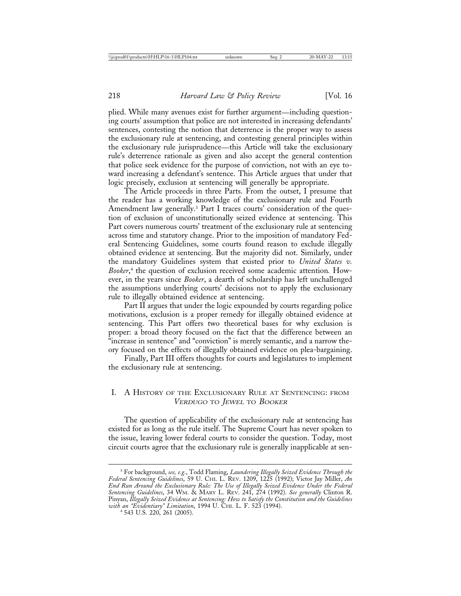plied. While many avenues exist for further argument—including questioning courts' assumption that police are not interested in increasing defendants' sentences, contesting the notion that deterrence is the proper way to assess the exclusionary rule at sentencing, and contesting general principles within the exclusionary rule jurisprudence—this Article will take the exclusionary rule's deterrence rationale as given and also accept the general contention that police seek evidence for the purpose of conviction, not with an eye toward increasing a defendant's sentence. This Article argues that under that logic precisely, exclusion at sentencing will generally be appropriate.

The Article proceeds in three Parts. From the outset, I presume that the reader has a working knowledge of the exclusionary rule and Fourth Amendment law generally.<sup>3</sup> Part I traces courts' consideration of the question of exclusion of unconstitutionally seized evidence at sentencing. This Part covers numerous courts' treatment of the exclusionary rule at sentencing across time and statutory change. Prior to the imposition of mandatory Federal Sentencing Guidelines, some courts found reason to exclude illegally obtained evidence at sentencing. But the majority did not. Similarly, under the mandatory Guidelines system that existed prior to *United States v. Booker*, 4 the question of exclusion received some academic attention*.* However, in the years since *Booker*, a dearth of scholarship has left unchallenged the assumptions underlying courts' decisions not to apply the exclusionary rule to illegally obtained evidence at sentencing.

Part II argues that under the logic expounded by courts regarding police motivations, exclusion is a proper remedy for illegally obtained evidence at sentencing. This Part offers two theoretical bases for why exclusion is proper: a broad theory focused on the fact that the difference between an "increase in sentence" and "conviction" is merely semantic, and a narrow theory focused on the effects of illegally obtained evidence on plea-bargaining.

Finally, Part III offers thoughts for courts and legislatures to implement the exclusionary rule at sentencing.

## I. A HISTORY OF THE EXCLUSIONARY RULE AT SENTENCING: FROM VERDUGO TO JEWEL TO BOOKER

The question of applicability of the exclusionary rule at sentencing has existed for as long as the rule itself. The Supreme Court has never spoken to the issue, leaving lower federal courts to consider the question. Today, most circuit courts agree that the exclusionary rule is generally inapplicable at sen-

<sup>3</sup> For background, *see, e.g.*, Todd Flaming, *Laundering Illegally Seized Evidence Through the Federal Sentencing Guidelines*, 59 U. CHI. L. REV. 1209, 1225 (1992); Victor Jay Miller, *An End Run Around the Exclusionary Rule: The Use of Illegally Seized Evidence Under the Federal Sentencing Guidelines*, 34 WM. & MARY L. REV. 241, 274 (1992). *See generally* Clinton R. Pinyan, *Illegally Seized Evidence at Sentencing: How to Satisfy the Constitution and the Guidelines with an "Evidentiary" Limitation*, 1994 U. CHI. L. F. 523 (1994). <sup>4</sup> 543 U.S. 220, 261 (2005).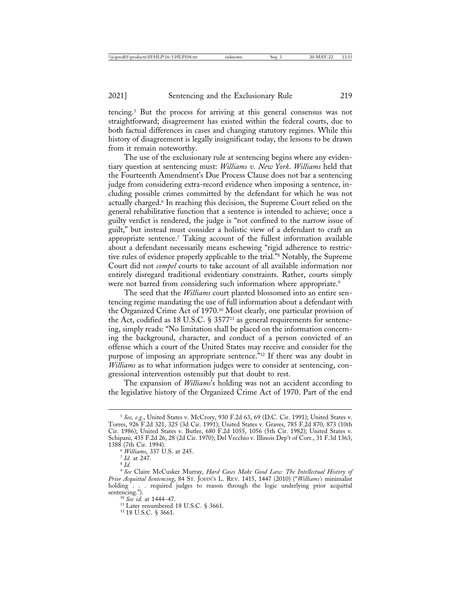tencing.5 But the process for arriving at this general consensus was not straightforward; disagreement has existed within the federal courts, due to both factual differences in cases and changing statutory regimes. While this history of disagreement is legally insignificant today, the lessons to be drawn from it remain noteworthy.

The use of the exclusionary rule at sentencing begins where any evidentiary question at sentencing must: *Williams v. New York*. *Williams* held that the Fourteenth Amendment's Due Process Clause does not bar a sentencing judge from considering extra-record evidence when imposing a sentence, including possible crimes committed by the defendant for which he was not actually charged.6 In reaching this decision, the Supreme Court relied on the general rehabilitative function that a sentence is intended to achieve; once a guilty verdict is rendered, the judge is "not confined to the narrow issue of guilt," but instead must consider a holistic view of a defendant to craft an appropriate sentence.7 Taking account of the fullest information available about a defendant necessarily means eschewing "rigid adherence to restrictive rules of evidence properly applicable to the trial."8 Notably, the Supreme Court did not *compel* courts to take account of all available information nor entirely disregard traditional evidentiary constraints. Rather, courts simply were not barred from considering such information where appropriate.<sup>9</sup>

The seed that the *Williams* court planted blossomed into an entire sentencing regime mandating the use of full information about a defendant with the Organized Crime Act of 1970.10 Most clearly, one particular provision of the Act, codified as 18 U.S.C. § 357711 as general requirements for sentencing, simply reads: "No limitation shall be placed on the information concerning the background, character, and conduct of a person convicted of an offense which a court of the United States may receive and consider for the purpose of imposing an appropriate sentence.<sup>"12</sup> If there was any doubt in *Williams* as to what information judges were to consider at sentencing, congressional intervention ostensibly put that doubt to rest.

The expansion of *Williams*'s holding was not an accident according to the legislative history of the Organized Crime Act of 1970. Part of the end

<sup>5</sup> *See, e.g.*, United States v. McCrory, 930 F.2d 63, 69 (D.C. Cir. 1991); United States v. Torres, 926 F.2d 321, 325 (3d Cir. 1991); United States v. Graves, 785 F.2d 870, 873 (10th Cir. 1986); United States v. Butler, 680 F.2d 1055, 1056 (5th Cir. 1982); United States v. Schipani, 435 F.2d 26, 28 (2d Cir. 1970); Del Vecchio v. Illinois Dep't of Corr*.*, 31 F.3d 1363, 1388 (7th Cir. 1994). <sup>6</sup> *Williams*, 337 U.S. at 245. <sup>7</sup> *Id.* at 247. <sup>8</sup> *Id.*

<sup>9</sup> *See* Claire McCusker Murray, *Hard Cases Make Good Law: The Intellectual History of Prior Acquittal Sentencing*, 84 ST. JOHN'S L. REV. 1415, 1447 (2010) ("*Williams's* minimalist holding . . . required judges to reason through the logic underlying prior acquittal sentencing.").

<sup>&</sup>lt;sup>10</sup> *See id.* at 1444–47.<br><sup>11</sup> Later renumbered 18 U.S.C. § 3661.<br><sup>12</sup> 18 U.S.C. § 3661.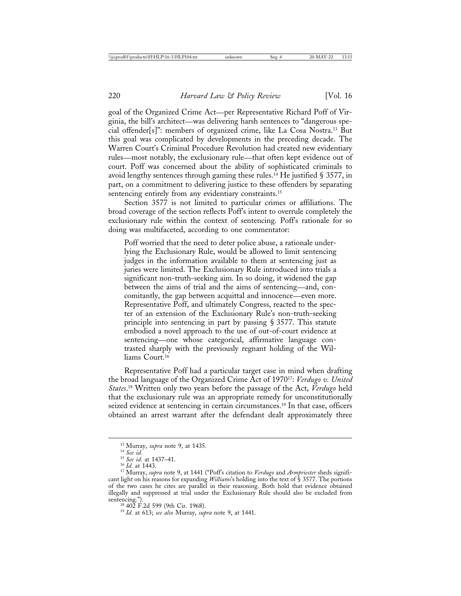goal of the Organized Crime Act—per Representative Richard Poff of Virginia, the bill's architect—was delivering harsh sentences to "dangerous special offender[s]": members of organized crime, like La Cosa Nostra.13 But this goal was complicated by developments in the preceding decade. The Warren Court's Criminal Procedure Revolution had created new evidentiary rules—most notably, the exclusionary rule—that often kept evidence out of court. Poff was concerned about the ability of sophisticated criminals to avoid lengthy sentences through gaming these rules.<sup>14</sup> He justified § 3577, in part, on a commitment to delivering justice to these offenders by separating sentencing entirely from any evidentiary constraints.<sup>15</sup>

Section 3577 is not limited to particular crimes or affiliations. The broad coverage of the section reflects Poff's intent to overrule completely the exclusionary rule within the context of sentencing. Poff's rationale for so doing was multifaceted, according to one commentator:

Poff worried that the need to deter police abuse, a rationale underlying the Exclusionary Rule, would be allowed to limit sentencing judges in the information available to them at sentencing just as juries were limited. The Exclusionary Rule introduced into trials a significant non-truth-seeking aim. In so doing, it widened the gap between the aims of trial and the aims of sentencing—and, concomitantly, the gap between acquittal and innocence—even more. Representative Poff, and ultimately Congress, reacted to the specter of an extension of the Exclusionary Rule's non-truth-seeking principle into sentencing in part by passing § 3577. This statute embodied a novel approach to the use of out-of-court evidence at sentencing—one whose categorical, affirmative language contrasted sharply with the previously regnant holding of the Williams Court.16

Representative Poff had a particular target case in mind when drafting the broad language of the Organized Crime Act of 197017: *Verdugo v. United States*. 18 Written only two years before the passage of the Act, *Verdugo* held that the exclusionary rule was an appropriate remedy for unconstitutionally seized evidence at sentencing in certain circumstances.<sup>19</sup> In that case, officers obtained an arrest warrant after the defendant dealt approximately three

<sup>&</sup>lt;sup>13</sup> Murray, *supra* note 9, at 1435.<br><sup>14</sup> *See id.*<br><sup>15</sup> *See id.* at 1437–41.<br><sup>16</sup> *Id.* at 1443.<br><sup>17</sup> Murray, *supra* note 9, at 1441 ("Poff's citation to *Verdugo* and *Armpriester* sheds significant light on his reasons for expanding *Williams*'s holding into the text of § 3577. The portions of the two cases he cites are parallel in their reasoning. Both hold that evidence obtained illegally and suppressed at trial under the Exclusionary Rule should also be excluded from sentencing."). <sup>18</sup> 402 F.2d 599 (9th Cir. 1968). <sup>19</sup> *Id.* at 613; *see also* Murray, *supra* note 9, at 1441.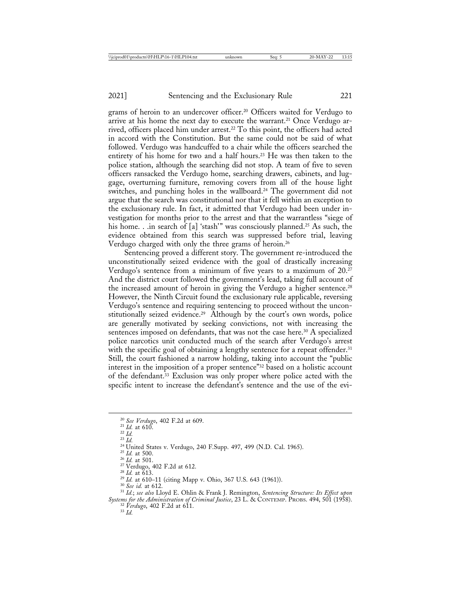grams of heroin to an undercover officer.20 Officers waited for Verdugo to arrive at his home the next day to execute the warrant.<sup>21</sup> Once Verdugo arrived, officers placed him under arrest.22 To this point, the officers had acted in accord with the Constitution. But the same could not be said of what followed. Verdugo was handcuffed to a chair while the officers searched the entirety of his home for two and a half hours.<sup>23</sup> He was then taken to the police station, although the searching did not stop. A team of five to seven officers ransacked the Verdugo home, searching drawers, cabinets, and luggage, overturning furniture, removing covers from all of the house light switches, and punching holes in the wallboard.<sup>24</sup> The government did not argue that the search was constitutional nor that it fell within an exception to the exclusionary rule. In fact, it admitted that Verdugo had been under investigation for months prior to the arrest and that the warrantless "siege of his home. . .in search of [a] 'stash'" was consciously planned.<sup>25</sup> As such, the evidence obtained from this search was suppressed before trial, leaving Verdugo charged with only the three grams of heroin.26

Sentencing proved a different story. The government re-introduced the unconstitutionally seized evidence with the goal of drastically increasing Verdugo's sentence from a minimum of five years to a maximum of 20.27 And the district court followed the government's lead, taking full account of the increased amount of heroin in giving the Verdugo a higher sentence.<sup>28</sup> However, the Ninth Circuit found the exclusionary rule applicable, reversing Verdugo's sentence and requiring sentencing to proceed without the unconstitutionally seized evidence.29 Although by the court's own words, police are generally motivated by seeking convictions, not with increasing the sentences imposed on defendants, that was not the case here.<sup>30</sup> A specialized police narcotics unit conducted much of the search after Verdugo's arrest with the specific goal of obtaining a lengthy sentence for a repeat offender.<sup>31</sup> Still, the court fashioned a narrow holding, taking into account the "public interest in the imposition of a proper sentence"32 based on a holistic account of the defendant.33 Exclusion was only proper where police acted with the specific intent to increase the defendant's sentence and the use of the evi-

<sup>20</sup> See Verdugo, 402 F.2d at 609.<br>
<sup>21</sup> Id. at 610.<br>
<sup>22</sup> Id.<br>
<sup>23</sup> Id.<br>
<sup>23</sup> Id.<br>
<sup>25</sup> Id. at 500.<br>
<sup>25</sup> Id. at 500.<br>
<sup>26</sup> Id. at 500.<br>
<sup>27</sup> Verdugo, 402 F.2d at 612.<br>
<sup>28</sup> Id. at 613.<br>
<sup>29</sup> Id. at 610–11 (citing Mapp v *Systems for the Administration of Criminal Justice*, 23 L. & CONTEMP. PROBS. 494, 501 (1958). <sup>32</sup> *Verdugo*, 402 F.2d at 611. <sup>33</sup> *Id.*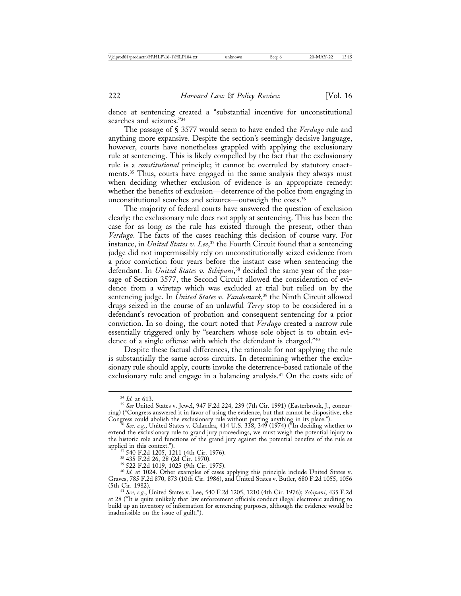dence at sentencing created a "substantial incentive for unconstitutional searches and seizures."34

The passage of § 3577 would seem to have ended the *Verdugo* rule and anything more expansive. Despite the section's seemingly decisive language, however, courts have nonetheless grappled with applying the exclusionary rule at sentencing. This is likely compelled by the fact that the exclusionary rule is a *constitutional* principle; it cannot be overruled by statutory enactments.35 Thus, courts have engaged in the same analysis they always must when deciding whether exclusion of evidence is an appropriate remedy: whether the benefits of exclusion—deterrence of the police from engaging in unconstitutional searches and seizures—outweigh the costs.36

The majority of federal courts have answered the question of exclusion clearly: the exclusionary rule does not apply at sentencing. This has been the case for as long as the rule has existed through the present, other than *Verdugo*. The facts of the cases reaching this decision of course vary. For instance, in *United States v. Lee*, 37 the Fourth Circuit found that a sentencing judge did not impermissibly rely on unconstitutionally seized evidence from a prior conviction four years before the instant case when sentencing the defendant. In *United States v. Schipani*, 38 decided the same year of the passage of Section 3577, the Second Circuit allowed the consideration of evidence from a wiretap which was excluded at trial but relied on by the sentencing judge. In *United States v. Vandemark*, 39 the Ninth Circuit allowed drugs seized in the course of an unlawful *Terry* stop to be considered in a defendant's revocation of probation and consequent sentencing for a prior conviction. In so doing, the court noted that *Verdugo* created a narrow rule essentially triggered only by "searchers whose sole object is to obtain evidence of a single offense with which the defendant is charged."40

Despite these factual differences, the rationale for not applying the rule is substantially the same across circuits. In determining whether the exclusionary rule should apply, courts invoke the deterrence-based rationale of the exclusionary rule and engage in a balancing analysis.<sup>41</sup> On the costs side of

<sup>&</sup>lt;sup>34</sup> *Id.* at 613.<br><sup>35</sup> *See* United States v. Jewel, 947 F.2d 224, 239 (7th Cir. 1991) (Easterbrook, J., concurring) ("Congress answered it in favor of using the evidence, but that cannot be dispositive, else

 $\mathscr{E}_{\mathscr{E}}$  *See, e.g.*, United States v. Calandra, 414 U.S. 338, 349 (1974) ("In deciding whether to extend the exclusionary rule to grand jury proceedings, we must weigh the potential injury to the historic role and functions of the grand jury against the potential benefits of the rule as applied in this context.").

applied in this context.").<br><sup>37</sup> 540 F.2d 1205, 1211 (4th Cir. 1976).<br><sup>38</sup> 435 F.2d 26, 28 (2d Cir. 1970).<br><sup>39</sup> 522 F.2d 1019, 1025 (9th Cir. 1975).<br><sup>40</sup> *Id.* at 1024. Other examples of cases applying this principle inclu Graves, 785 F.2d 870, 873 (10th Cir. 1986), and United States v. Butler, 680 F.2d 1055, 1056 (5th Cir. 1982). <sup>41</sup> *See, e.g.*, United States v. Lee, 540 F.2d 1205, 1210 (4th Cir. 1976); *Schipani*, 435 F.2d

at 28 ("It is quite unlikely that law enforcement officials conduct illegal electronic auditing to build up an inventory of information for sentencing purposes, although the evidence would be inadmissible on the issue of guilt.").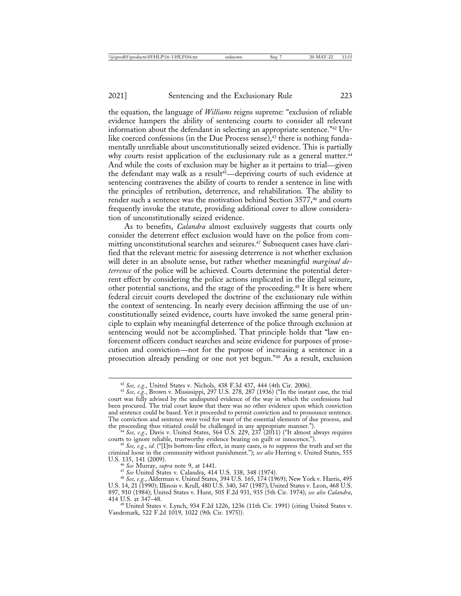the equation, the language of *Williams* reigns supreme: "exclusion of reliable evidence hampers the ability of sentencing courts to consider all relevant information about the defendant in selecting an appropriate sentence."42 Unlike coerced confessions (in the Due Process sense), $43$  there is nothing fundamentally unreliable about unconstitutionally seized evidence. This is partially why courts resist application of the exclusionary rule as a general matter.<sup>44</sup> And while the costs of exclusion may be higher as it pertains to trial—given the defendant may walk as a result<sup>45</sup>—depriving courts of such evidence at sentencing contravenes the ability of courts to render a sentence in line with the principles of retribution, deterrence, and rehabilitation. The ability to render such a sentence was the motivation behind Section 3577,<sup>46</sup> and courts frequently invoke the statute, providing additional cover to allow consideration of unconstitutionally seized evidence.

As to benefits, *Calandra* almost exclusively suggests that courts only consider the deterrent effect exclusion would have on the police from committing unconstitutional searches and seizures.<sup>47</sup> Subsequent cases have clarified that the relevant metric for assessing deterrence is not whether exclusion will deter in an absolute sense, but rather whether meaningful *marginal deterrence* of the police will be achieved. Courts determine the potential deterrent effect by considering the police actions implicated in the illegal seizure, other potential sanctions, and the stage of the proceeding.48 It is here where federal circuit courts developed the doctrine of the exclusionary rule within the context of sentencing. In nearly every decision affirming the use of unconstitutionally seized evidence, courts have invoked the same general principle to explain why meaningful deterrence of the police through exclusion at sentencing would not be accomplished. That principle holds that "law enforcement officers conduct searches and seize evidence for purposes of prosecution and conviction—not for the purpose of increasing a sentence in a prosecution already pending or one not yet begun."49 As a result, exclusion

<sup>42</sup> *See, e.g.*, United States v. Nichols, 438 F.3d 437, 444 (4th Cir. 2006). <sup>43</sup> *See, e.g.*, Brown v. Mississippi, 297 U.S. 278, 287 (1936) ("In the instant case, the trial court was fully advised by the undisputed evidence of the way in which the confessions had been procured. The trial court knew that there was no other evidence upon which conviction and sentence could be based. Yet it proceeded to permit conviction and to pronounce sentence. The conviction and sentence were void for want of the essential elements of due process, and

the proceeding thus vitiated could be challenged in any appropriate manner.").<br>
<sup>44</sup> *See, e.g.*, Davis v. United States, 564 U.S. 229, 237 (2011) ("It almost always requires<br>
courts to ignore reliable, trustworthy evidenc

<sup>&</sup>lt;sup>45</sup> *See, e.g., id.* ("[I]ts bottom-line effect, in many cases, is to suppress the truth and set the criminal loose in the community without punishment."); *see also* Herring v. United States, 555

U.S. 135, 141 (2009).<br><sup>46</sup> See Murray, *supra* note 9, at 1441.<br><sup>47</sup> See United States v. Calandra, 414 U.S. 338, 348 (1974).<br><sup>48</sup> See, e.g., Alderman v. United States, 394 U.S. 165, 174 (1969); New York v. Harris, 495 U.S. 14, 21 (1990); Illinois v. Krull, 480 U.S. 340, 347 (1987); United States v. Leon, 468 U.S. 897, 910 (1984); United States v. Hunt, 505 F.2d 931, 935 (5th Cir. 1974); *see also Calandra*,

<sup>&</sup>lt;sup>49</sup> United States v. Lynch, 934 F.2d 1226, 1236 (11th Cir. 1991) (citing United States v. Vandemark, 522 F.2d 1019, 1022 (9th Cir. 1975)).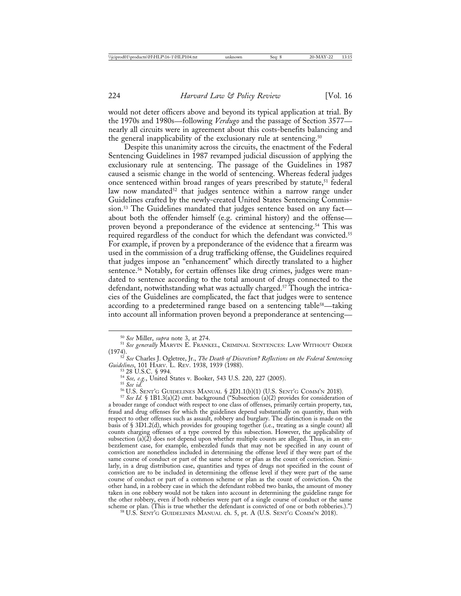would not deter officers above and beyond its typical application at trial. By the 1970s and 1980s—following *Verdugo* and the passage of Section 3577 nearly all circuits were in agreement about this costs-benefits balancing and the general inapplicability of the exclusionary rule at sentencing.<sup>50</sup>

Despite this unanimity across the circuits, the enactment of the Federal Sentencing Guidelines in 1987 revamped judicial discussion of applying the exclusionary rule at sentencing. The passage of the Guidelines in 1987 caused a seismic change in the world of sentencing. Whereas federal judges once sentenced within broad ranges of years prescribed by statute,<sup>51</sup> federal law now mandated<sup>52</sup> that judges sentence within a narrow range under Guidelines crafted by the newly-created United States Sentencing Commission.<sup>53</sup> The Guidelines mandated that judges sentence based on any fact about both the offender himself (e.g. criminal history) and the offense proven beyond a preponderance of the evidence at sentencing.<sup>54</sup> This was required regardless of the conduct for which the defendant was convicted.<sup>55</sup> For example, if proven by a preponderance of the evidence that a firearm was used in the commission of a drug trafficking offense, the Guidelines required that judges impose an "enhancement" which directly translated to a higher sentence.<sup>56</sup> Notably, for certain offenses like drug crimes, judges were mandated to sentence according to the total amount of drugs connected to the defendant, notwithstanding what was actually charged.57 Though the intricacies of the Guidelines are complicated, the fact that judges were to sentence according to a predetermined range based on a sentencing table<sup>58</sup>—taking into account all information proven beyond a preponderance at sentencing—

a broader range of conduct with respect to one class of offenses, primarily certain property, tax, fraud and drug offenses for which the guidelines depend substantially on quantity, than with respect to other offenses such as assault, robbery and burglary. The distinction is made on the basis of § 3D1.2(d), which provides for grouping together (i.e., treating as a single count) all counts charging offenses of a type covered by this subsection. However, the applicability of subsection  $(a)(\tilde{z})$  does not depend upon whether multiple counts are alleged. Thus, in an embezzlement case, for example, embezzled funds that may not be specified in any count of conviction are nonetheless included in determining the offense level if they were part of the same course of conduct or part of the same scheme or plan as the count of conviction. Similarly, in a drug distribution case, quantities and types of drugs not specified in the count of conviction are to be included in determining the offense level if they were part of the same course of conduct or part of a common scheme or plan as the count of conviction. On the other hand, in a robbery case in which the defendant robbed two banks, the amount of money taken in one robbery would not be taken into account in determining the guideline range for the other robbery, even if both robberies were part of a single course of conduct or the same scheme or plan. (This is true whether the defendant is convicted of one or both robberies.).")

<sup>&</sup>lt;sup>50</sup> See Miller, *supra* note 3, at 274.<br><sup>51</sup> See generally MARVIN E. FRANKEL, CRIMINAL SENTENCES: LAW WITHOUT ORDER

<sup>&</sup>lt;sup>52</sup> *See* Charles J. Ogletree, Jr., *The Death of Discretion? Reflections on the Federal Sentencing Guidelines*, 101 HARV. L. REV. 1938, 1939 (1988).<br><sup>53</sup> 28 U.S.C. § 994.

<sup>&</sup>lt;sup>54</sup> See, e.g., United States v. Booker, 543 U.S. 220, 227 (2005).<br><sup>55</sup> See id.<br><sup>56</sup> U.S. SENT'G GUIDELINES MANUAL § 2D1.1(b)(1) (U.S. SENT'G COMM'N 2018).<br><sup>57</sup> See Id. § 1B1.3(a)(2) cmt. background ("Subsection (a)(2) pr

<sup>&</sup>lt;sup>58</sup> U.S. SENT'G GUIDELINES MANUAL ch. 5, pt. A (U.S. SENT'G COMM'N 2018).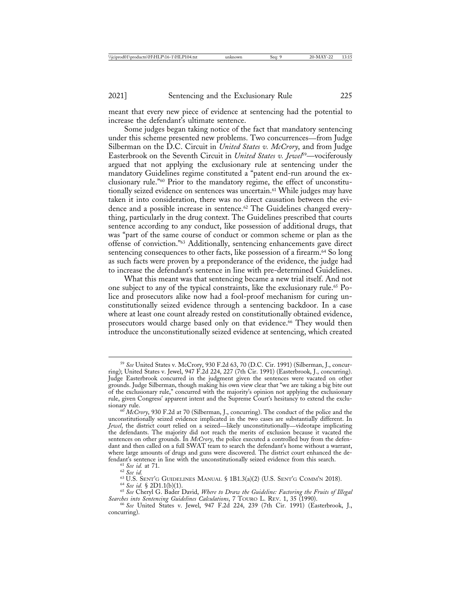meant that every new piece of evidence at sentencing had the potential to increase the defendant's ultimate sentence.

Some judges began taking notice of the fact that mandatory sentencing under this scheme presented new problems. Two concurrences—from Judge Silberman on the D.C. Circuit in *United States v. McCrory*, and from Judge Easterbrook on the Seventh Circuit in *United States v. Jewel*59—vociferously argued that not applying the exclusionary rule at sentencing under the mandatory Guidelines regime constituted a "patent end-run around the exclusionary rule."60 Prior to the mandatory regime, the effect of unconstitutionally seized evidence on sentences was uncertain.<sup>61</sup> While judges may have taken it into consideration, there was no direct causation between the evidence and a possible increase in sentence.<sup>62</sup> The Guidelines changed everything, particularly in the drug context. The Guidelines prescribed that courts sentence according to any conduct, like possession of additional drugs, that was "part of the same course of conduct or common scheme or plan as the offense of conviction."63 Additionally, sentencing enhancements gave direct sentencing consequences to other facts, like possession of a firearm.<sup>64</sup> So long as such facts were proven by a preponderance of the evidence, the judge had to increase the defendant's sentence in line with pre-determined Guidelines.

What this meant was that sentencing became a new trial itself. And not one subject to any of the typical constraints, like the exclusionary rule.65 Police and prosecutors alike now had a fool-proof mechanism for curing unconstitutionally seized evidence through a sentencing backdoor. In a case where at least one count already rested on constitutionally obtained evidence, prosecutors would charge based only on that evidence.<sup>66</sup> They would then introduce the unconstitutionally seized evidence at sentencing, which created

<sup>59</sup> *See* United States v. McCrory, 930 F.2d 63, 70 (D.C. Cir. 1991) (Silberman, J., concurring); United States v. Jewel, 947 F.2d 224, 227 (7th Cir. 1991) (Easterbrook, J., concurring). Judge Easterbrook concurred in the judgment given the sentences were vacated on other grounds. Judge Silberman, though making his own view clear that "we are taking a big bite out of the exclusionary rule," concurred with the majority's opinion not applying the exclusionary rule, given Congress' apparent intent and the Supreme Court's hesitancy to extend the exclu-

<sup>60</sup> *McCrory*, 930 F.2d at 70 (Silberman, J., concurring). The conduct of the police and the unconstitutionally seized evidence implicated in the two cases are substantially different. In *Jewel*, the district court relied on a seized—likely unconstitutionally—videotape implicating the defendants. The majority did not reach the merits of exclusion because it vacated the sentences on other grounds. In *McCrory*, the police executed a controlled buy from the defendant and then called on a full SWAT team to search the defendant's home without a warrant, where large amounts of drugs and guns were discovered. The district court enhanced the defendant's sentence in line with the unconstitutionally seized evidence from this search.<br>
<sup>61</sup> See id. at 71.<br>
<sup>62</sup> See id. 5 2UIDELINES MANUAL § 1B1.3(a)(2) (U.S. SENT'G COMM'N 2018).<br>
<sup>64</sup> See id. § 2D1.1(b)(1).<br>
<sup>65</sup> S

*Searches into Sentencing Guidelines Calculations*, 7 TOURO L. REV. 1, 35 (1990). <sup>66</sup> *See* United States v. Jewel, 947 F.2d 224, 239 (7th Cir. 1991) (Easterbrook, J.,

concurring).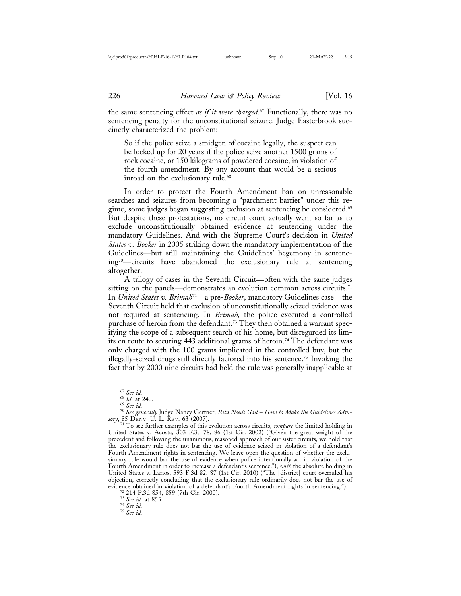the same sentencing effect *as if it were charged*. 67 Functionally, there was no sentencing penalty for the unconstitutional seizure. Judge Easterbrook succinctly characterized the problem:

So if the police seize a smidgen of cocaine legally, the suspect can be locked up for 20 years if the police seize another 1500 grams of rock cocaine, or 150 kilograms of powdered cocaine, in violation of the fourth amendment. By any account that would be a serious inroad on the exclusionary rule.<sup>68</sup>

In order to protect the Fourth Amendment ban on unreasonable searches and seizures from becoming a "parchment barrier" under this regime, some judges began suggesting exclusion at sentencing be considered.69 But despite these protestations, no circuit court actually went so far as to exclude unconstitutionally obtained evidence at sentencing under the mandatory Guidelines. And with the Supreme Court's decision in *United States v. Booker* in 2005 striking down the mandatory implementation of the Guidelines—but still maintaining the Guidelines' hegemony in sentencing70—circuits have abandoned the exclusionary rule at sentencing altogether.

A trilogy of cases in the Seventh Circuit—often with the same judges sitting on the panels—demonstrates an evolution common across circuits.<sup>71</sup> In *United States v. Brimah*72—a pre-*Booker*, mandatory Guidelines case—the Seventh Circuit held that exclusion of unconstitutionally seized evidence was not required at sentencing. In *Brimah,* the police executed a controlled purchase of heroin from the defendant.<sup>73</sup> They then obtained a warrant specifying the scope of a subsequent search of his home, but disregarded its limits en route to securing 443 additional grams of heroin.74 The defendant was only charged with the 100 grams implicated in the controlled buy, but the illegally-seized drugs still directly factored into his sentence.75 Invoking the fact that by 2000 nine circuits had held the rule was generally inapplicable at

<sup>&</sup>lt;sup>67</sup> See id.<br><sup>68</sup> Id. at 240.<br><sup>69</sup> See id.<br><sup>70</sup> See generally Judge Nancy Gertner, *Rita Needs Gall – How to Make the Guidelines Advi-*<br>50ry, 85 DENV. U. L. REV. 63 (2007).

<sup>&</sup>lt;sup>71</sup> To see further examples of this evolution across circuits, *compare* the limited holding in United States v. Acosta, 303 F.3d 78, 86 (1st Cir. 2002) ("Given the great weight of the precedent and following the unanimous, reasoned approach of our sister circuits, we hold that the exclusionary rule does not bar the use of evidence seized in violation of a defendant's Fourth Amendment rights in sentencing. We leave open the question of whether the exclusionary rule would bar the use of evidence when police intentionally act in violation of the Fourth Amendment in order to increase a defendant's sentence."), *with* the absolute holding in United States v. Larios, 593 F.3d 82, 87 (1st Cir. 2010) ("The [district] court overruled his objection, correctly concluding that the exclusionary rule ordinarily does not bar the use of evidence obtained in violation of a defendant's Fourth Amendment rights in sentencing.").<br>
<sup>72</sup> 214 F.3d 854, 859 (7th Cir. 2000).<br>
<sup>73</sup> *See id.* at 855.<br>
<sup>74</sup> *See id.* 75 *See id.*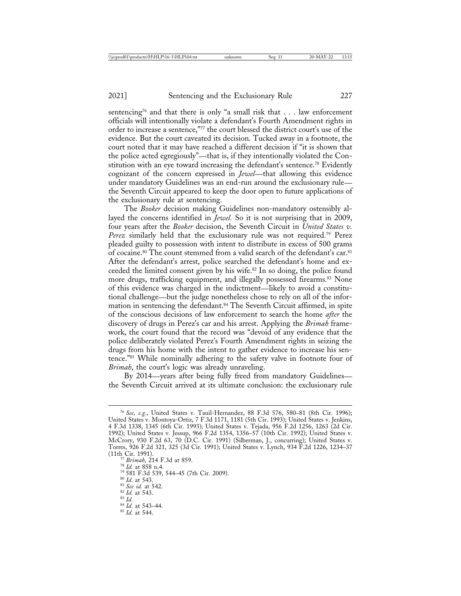sentencing<sup>76</sup> and that there is only "a small risk that  $\dots$  law enforcement officials will intentionally violate a defendant's Fourth Amendment rights in order to increase a sentence,"77 the court blessed the district court's use of the evidence. But the court caveated its decision. Tucked away in a footnote, the court noted that it may have reached a different decision if "it is shown that the police acted egregiously"—that is, if they intentionally violated the Constitution with an eye toward increasing the defendant's sentence.<sup>78</sup> Evidently cognizant of the concern expressed in *Jewel*—that allowing this evidence under mandatory Guidelines was an end-run around the exclusionary rule the Seventh Circuit appeared to keep the door open to future applications of the exclusionary rule at sentencing.

The *Booker* decision making Guidelines non-mandatory ostensibly allayed the concerns identified in *Jewel.* So it is not surprising that in 2009, four years after the *Booker* decision, the Seventh Circuit in *United States v. Perez* similarly held that the exclusionary rule was not required.79 Perez pleaded guilty to possession with intent to distribute in excess of 500 grams of cocaine.<sup>80</sup> The count stemmed from a valid search of the defendant's car.<sup>81</sup> After the defendant's arrest, police searched the defendant's home and exceeded the limited consent given by his wife.82 In so doing, the police found more drugs, trafficking equipment, and illegally possessed firearms.<sup>83</sup> None of this evidence was charged in the indictment—likely to avoid a constitutional challenge—but the judge nonetheless chose to rely on all of the information in sentencing the defendant.<sup>84</sup> The Seventh Circuit affirmed, in spite of the conscious decisions of law enforcement to search the home *after* the discovery of drugs in Perez's car and his arrest. Applying the *Brimah* framework, the court found that the record was "devoid of any evidence that the police deliberately violated Perez's Fourth Amendment rights in seizing the drugs from his home with the intent to gather evidence to increase his sentence."85 While nominally adhering to the safety valve in footnote four of *Brimah*, the court's logic was already unraveling.

By 2014—years after being fully freed from mandatory Guidelines the Seventh Circuit arrived at its ultimate conclusion: the exclusionary rule

<sup>76</sup> *See, e.g.*, United States v. Tauil-Hernandez, 88 F.3d 576, 580–81 (8th Cir. 1996); United States v. Montoya-Ortiz, 7 F.3d 1171, 1181 (5th Cir. 1993); United States v. Jenkins, 4 F.3d 1338, 1345 (6th Cir. 1993); United States v. Tejada, 956 F.2d 1256, 1263 (2d Cir. 1992); United States v. Jessup, 966 F.2d 1354, 1356–57 (10th Cir. 1992); United States v. McCrory, 930 F.2d 63, 70 (D.C. Cir. 1991) (Silberman, J., concurring); United States v. Torres, 926 F.2d 321, 325 (3d Cir. 1991); United States v. Lynch, 934 F.2d 1226, 1234–37

<sup>&</sup>lt;sup>77</sup> Brimah, 214 F.3d at 859.<br>
<sup>78</sup> Id. at 858 n.4.<br>
<sup>79</sup> 581 F.3d 539, 544–45 (7th Cir. 2009).<br>
<sup>80</sup> Id. at 543.<br>
<sup>81</sup> *See id.* at 542.<br>
<sup>82</sup> Id. at 543.<br>
<sup>83</sup> Id. at 543-44.<br>
<sup>84</sup> Id. at 543–44.<br>
<sup>85</sup> Id. at 544.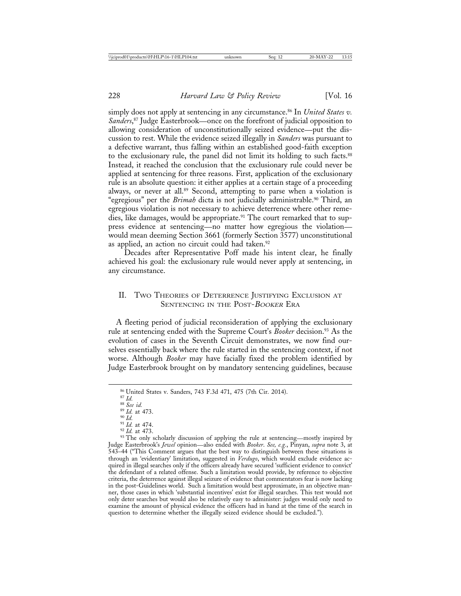simply does not apply at sentencing in any circumstance.<sup>86</sup> In *United States v*. *Sanders*, 87 Judge Easterbrook—once on the forefront of judicial opposition to allowing consideration of unconstitutionally seized evidence—put the discussion to rest. While the evidence seized illegally in *Sanders* was pursuant to a defective warrant, thus falling within an established good-faith exception to the exclusionary rule, the panel did not limit its holding to such facts.88 Instead, it reached the conclusion that the exclusionary rule could never be applied at sentencing for three reasons. First, application of the exclusionary rule is an absolute question: it either applies at a certain stage of a proceeding always, or never at all.<sup>89</sup> Second, attempting to parse when a violation is "egregious" per the *Brimah* dicta is not judicially administrable.90 Third, an egregious violation is not necessary to achieve deterrence where other remedies, like damages, would be appropriate.<sup>91</sup> The court remarked that to suppress evidence at sentencing—no matter how egregious the violation would mean deeming Section 3661 (formerly Section 3577) unconstitutional as applied, an action no circuit could had taken.<sup>92</sup>

Decades after Representative Poff made his intent clear, he finally achieved his goal: the exclusionary rule would never apply at sentencing, in any circumstance.

### II. TWO THEORIES OF DETERRENCE JUSTIFYING EXCLUSION AT SENTENCING IN THE POST-BOOKER ERA

 A fleeting period of judicial reconsideration of applying the exclusionary rule at sentencing ended with the Supreme Court's *Booker* decision.<sup>93</sup> As the evolution of cases in the Seventh Circuit demonstrates, we now find ourselves essentially back where the rule started in the sentencing context, if not worse. Although *Booker* may have facially fixed the problem identified by Judge Easterbrook brought on by mandatory sentencing guidelines, because

<sup>&</sup>lt;sup>86</sup> United States v. Sanders, 743 F.3d 471, 475 (7th Cir. 2014).<br><sup>87</sup> *Id.*<br><sup>88</sup> *See id.*<br><sup>89</sup> *Id.* at 473.<br><sup>90</sup> *Id.* at 474.<br><sup>91</sup> *Id.* at 473.<br><sup>92</sup> *Id.* at 473.<br><sup>92</sup> *Id.* at 473. Judge Easterbrook's *Jewel* opinion—also ended with *Booker*. *See, e.g.*, Pinyan, *supra* note 3, at 543–44 ("This Comment argues that the best way to distinguish between these situations is through an 'evidentiary' limitation, suggested in *Verdugo*, which would exclude evidence acquired in illegal searches only if the officers already have secured 'sufficient evidence to convict' the defendant of a related offense. Such a limitation would provide, by reference to objective criteria, the deterrence against illegal seizure of evidence that commentators fear is now lacking in the post-Guidelines world. Such a limitation would best approximate, in an objective manner, those cases in which 'substantial incentives' exist for illegal searches. This test would not only deter searches but would also be relatively easy to administer: judges would only need to examine the amount of physical evidence the officers had in hand at the time of the search in question to determine whether the illegally seized evidence should be excluded.").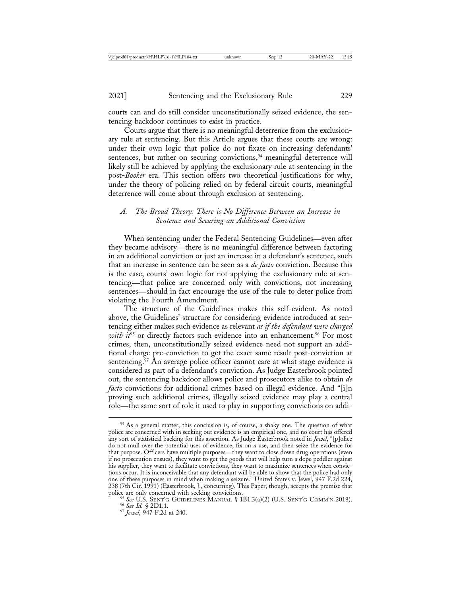courts can and do still consider unconstitutionally seized evidence, the sentencing backdoor continues to exist in practice.

Courts argue that there is no meaningful deterrence from the exclusionary rule at sentencing. But this Article argues that these courts are wrong: under their own logic that police do not fixate on increasing defendants' sentences, but rather on securing convictions,<sup>94</sup> meaningful deterrence will likely still be achieved by applying the exclusionary rule at sentencing in the post-*Booker* era. This section offers two theoretical justifications for why, under the theory of policing relied on by federal circuit courts, meaningful deterrence will come about through exclusion at sentencing.

### *A. The Broad Theory: There is No Difference Between an Increase in Sentence and Securing an Additional Conviction*

When sentencing under the Federal Sentencing Guidelines—even after they became advisory—there is no meaningful difference between factoring in an additional conviction or just an increase in a defendant's sentence, such that an increase in sentence can be seen as a *de facto* conviction. Because this is the case, courts' own logic for not applying the exclusionary rule at sentencing—that police are concerned only with convictions, not increasing sentences—should in fact encourage the use of the rule to deter police from violating the Fourth Amendment.

The structure of the Guidelines makes this self-evident. As noted above, the Guidelines' structure for considering evidence introduced at sentencing either makes such evidence as relevant *as if the defendant were charged with it*<sup>95</sup> or directly factors such evidence into an enhancement.<sup>96</sup> For most crimes, then, unconstitutionally seized evidence need not support an additional charge pre-conviction to get the exact same result post-conviction at sentencing.<sup>97</sup> An average police officer cannot care at what stage evidence is considered as part of a defendant's conviction. As Judge Easterbrook pointed out, the sentencing backdoor allows police and prosecutors alike to obtain *de facto* convictions for additional crimes based on illegal evidence. And "[i]n proving such additional crimes, illegally seized evidence may play a central role—the same sort of role it used to play in supporting convictions on addi-

<sup>&</sup>lt;sup>94</sup> As a general matter, this conclusion is, of course, a shaky one. The question of what police are concerned with in seeking out evidence is an empirical one, and no court has offered any sort of statistical backing for this assertion. As Judge Easterbrook noted in *Jewel*, "[p]olice do not mull over the potential uses of evidence, fix on *a* use, and then seize the evidence for that purpose. Officers have multiple purposes—they want to close down drug operations (even if no prosecution ensues), they want to get the goods that will help turn a dope peddler against his supplier, they want to facilitate convictions, they want to maximize sentences when convictions occur. It is inconceivable that any defendant will be able to show that the police had only one of these purposes in mind when making a seizure." United States v. Jewel, 947 F.2d 224, 238 (7th Cir. 1991) (Easterbrook, J., concurring). This Paper, though, accepts the premise that

police are only concerned with seeking convictions. <sup>95</sup> *See* U.S. SENT'G GUIDELINES MANUAL § 1B1.3(a)(2) (U.S. SENT'G COMM'N 2018). <sup>96</sup> *See Id.* § 2D1.1. <sup>97</sup> *Jewel*, 947 F.2d at 240.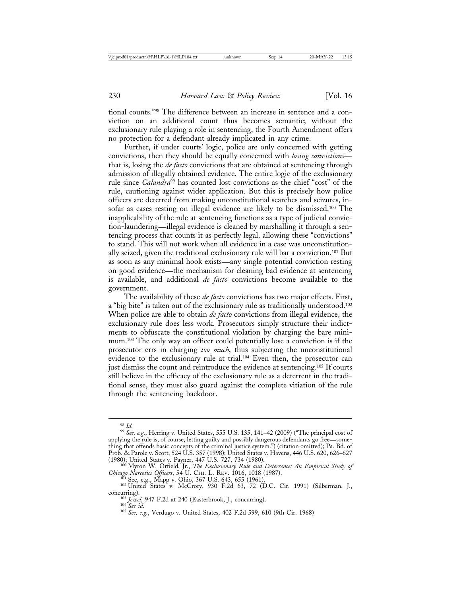tional counts."98 The difference between an increase in sentence and a conviction on an additional count thus becomes semantic; without the exclusionary rule playing a role in sentencing, the Fourth Amendment offers no protection for a defendant already implicated in any crime.

Further, if under courts' logic, police are only concerned with getting convictions, then they should be equally concerned with *losing convictions* that is, losing the *de facto* convictions that are obtained at sentencing through admission of illegally obtained evidence. The entire logic of the exclusionary rule since *Calandra*<sup>99</sup> has counted lost convictions as the chief "cost" of the rule, cautioning against wider application. But this is precisely how police officers are deterred from making unconstitutional searches and seizures, insofar as cases resting on illegal evidence are likely to be dismissed.100 The inapplicability of the rule at sentencing functions as a type of judicial conviction-laundering—illegal evidence is cleaned by marshalling it through a sentencing process that counts it as perfectly legal, allowing these "convictions" to stand. This will not work when all evidence in a case was unconstitutionally seized, given the traditional exclusionary rule will bar a conviction.101 But as soon as any minimal hook exists—any single potential conviction resting on good evidence—the mechanism for cleaning bad evidence at sentencing is available, and additional *de facto* convictions become available to the government.

The availability of these *de facto* convictions has two major effects. First, a "big bite" is taken out of the exclusionary rule as traditionally understood.102 When police are able to obtain *de facto* convictions from illegal evidence, the exclusionary rule does less work. Prosecutors simply structure their indictments to obfuscate the constitutional violation by charging the bare minimum.103 The only way an officer could potentially lose a conviction is if the prosecutor errs in charging *too much*, thus subjecting the unconstitutional evidence to the exclusionary rule at trial.<sup>104</sup> Even then, the prosecutor can just dismiss the count and reintroduce the evidence at sentencing.<sup>105</sup> If courts still believe in the efficacy of the exclusionary rule as a deterrent in the traditional sense, they must also guard against the complete vitiation of the rule through the sentencing backdoor.

<sup>&</sup>lt;sup>99</sup> See, e.g., Herring v. United States, 555 U.S. 135, 141-42 (2009) ("The principal cost of applying the rule is, of course, letting guilty and possibly dangerous defendants go free—something that offends basic concepts of the criminal justice system.") (citation omitted); Pa. Bd. of Prob. & Parole v. Scott, 524 U.S. 357 (1998); United States v. Havens, 446 U.S. 620, 626–627

<sup>(1980);</sup> United States v. Payner, 447 U.S. 727, 734 (1980). <sup>100</sup> Myron W. Orfield, Jr., *The Exclusionary Rule and Deterrence: An Empirical Study of*

*Chicago Narcotics Officers*, 54 U. CHI. L. REV. 1016, 1018 (1987).<br><sup>101</sup> See, e.g., Mapp v. Ohio, 367 U.S. 643, 655 (1961).<br><sup>102</sup> United States v. McCrory, 930 F.2d 63, 72 (D.C. Cir. 1991) (Silberman, J., concurring). <sup>103</sup> *Jewel*, 947 F.2d at 240 (Easterbrook, J., concurring). <sup>104</sup> *See id.* <sup>105</sup> *See, e.g.*, Verdugo v. United States, 402 F.2d 599, 610 (9th Cir. 1968)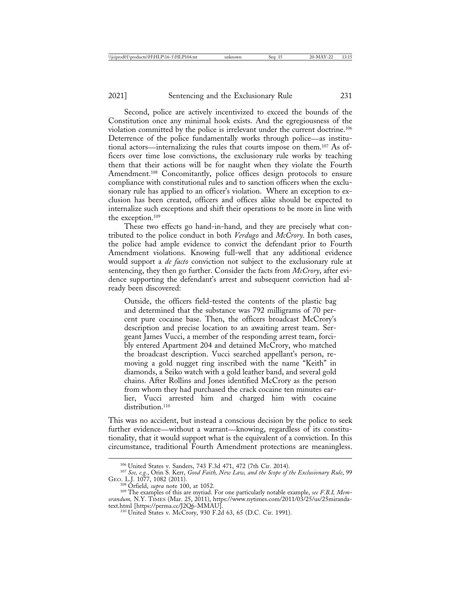Second, police are actively incentivized to exceed the bounds of the Constitution once any minimal hook exists. And the egregiousness of the violation committed by the police is irrelevant under the current doctrine.106 Deterrence of the police fundamentally works through police—as institutional actors—internalizing the rules that courts impose on them.107 As officers over time lose convictions, the exclusionary rule works by teaching them that their actions will be for naught when they violate the Fourth Amendment.<sup>108</sup> Concomitantly, police offices design protocols to ensure compliance with constitutional rules and to sanction officers when the exclusionary rule has applied to an officer's violation. Where an exception to exclusion has been created, officers and offices alike should be expected to internalize such exceptions and shift their operations to be more in line with the exception.109

These two effects go hand-in-hand, and they are precisely what contributed to the police conduct in both *Verdugo* and *McCrory*. In both cases, the police had ample evidence to convict the defendant prior to Fourth Amendment violations. Knowing full-well that any additional evidence would support a *de facto* conviction not subject to the exclusionary rule at sentencing, they then go further. Consider the facts from *McCrory*, after evidence supporting the defendant's arrest and subsequent conviction had already been discovered:

Outside, the officers field-tested the contents of the plastic bag and determined that the substance was 792 milligrams of 70 percent pure cocaine base. Then, the officers broadcast McCrory's description and precise location to an awaiting arrest team. Sergeant James Vucci, a member of the responding arrest team, forcibly entered Apartment 204 and detained McCrory, who matched the broadcast description. Vucci searched appellant's person, removing a gold nugget ring inscribed with the name "Keith" in diamonds, a Seiko watch with a gold leather band, and several gold chains. After Rollins and Jones identified McCrory as the person from whom they had purchased the crack cocaine ten minutes earlier, Vucci arrested him and charged him with cocaine distribution.<sup>110</sup>

This was no accident, but instead a conscious decision by the police to seek further evidence—without a warrant—knowing, regardless of its constitutionality, that it would support what is the equivalent of a conviction. In this circumstance, traditional Fourth Amendment protections are meaningless.

<sup>106</sup> United States v. Sanders, 743 F.3d 471, 472 (7th Cir. 2014). <sup>107</sup> *See, e.g.*, Orin S. Kerr, *Good Faith, New Law, and the Scope of the Exclusionary Rule*, 99 GEO. L.J. 1077, 1082 (2011).<br><sup>108</sup> Orfield, *supra* note 100, at 1052.

<sup>&</sup>lt;sup>109</sup> The examples of this are myriad. For one particularly notable example, *see F.B.I, Memorandum*, N.Y. TiMES (Mar. 25, 2011), https://www.nytimes.com/2011/03/25/us/25miranda-<br>text.html [https://perma.cc/J2Q6-MMAU].

<sup>&</sup>lt;sup>110</sup> United States v. McCrory, 930 F.2d 63, 65 (D.C. Cir. 1991).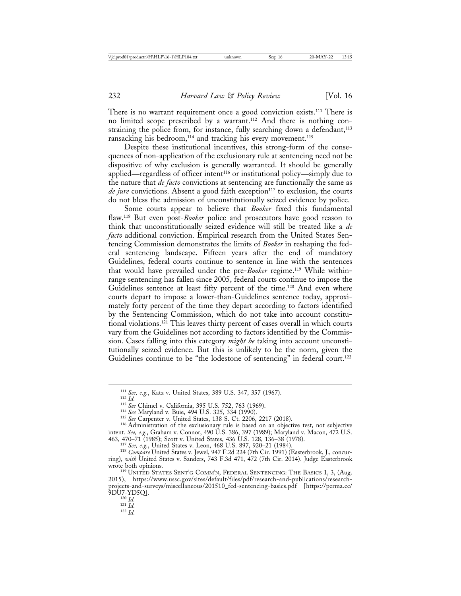There is no warrant requirement once a good conviction exists.<sup>111</sup> There is no limited scope prescribed by a warrant.112 And there is nothing constraining the police from, for instance, fully searching down a defendant, $113$ ransacking his bedroom, $114$  and tracking his every movement. $115$ 

Despite these institutional incentives, this strong-form of the consequences of non-application of the exclusionary rule at sentencing need not be dispositive of why exclusion is generally warranted. It should be generally applied—regardless of officer intent116 or institutional policy—simply due to the nature that *de facto* convictions at sentencing are functionally the same as *de jure* convictions. Absent a good faith exception<sup>117</sup> to exclusion, the courts do not bless the admission of unconstitutionally seized evidence by police.

Some courts appear to believe that *Booker* fixed this fundamental flaw.118 But even post-*Booker* police and prosecutors have good reason to think that unconstitutionally seized evidence will still be treated like a *de facto* additional conviction. Empirical research from the United States Sentencing Commission demonstrates the limits of *Booker* in reshaping the federal sentencing landscape. Fifteen years after the end of mandatory Guidelines, federal courts continue to sentence in line with the sentences that would have prevailed under the pre-*Booker* regime.119 While withinrange sentencing has fallen since 2005, federal courts continue to impose the Guidelines sentence at least fifty percent of the time.<sup>120</sup> And even where courts depart to impose a lower-than-Guidelines sentence today, approximately forty percent of the time they depart according to factors identified by the Sentencing Commission, which do not take into account constitutional violations.121 This leaves thirty percent of cases overall in which courts vary from the Guidelines not according to factors identified by the Commission. Cases falling into this category *might be* taking into account unconstitutionally seized evidence. But this is unlikely to be the norm, given the Guidelines continue to be "the lodestone of sentencing" in federal court.<sup>122</sup>

- 
- 

<sup>&</sup>lt;sup>111</sup> *See, e.g.*, Katz v. United States, 389 U.S. 347, 357 (1967).<br><sup>112</sup> *Id.*<br><sup>113</sup> *See* Chimel v. California, 395 U.S. 752, 763 (1969).<br><sup>114</sup> *See* Maryland v. Buie, 494 U.S. 325, 334 (1990).<br><sup>115</sup> *See* Carpenter v. intent. *See, e.g.*, Graham v. Connor, 490 U.S. 386, 397 (1989); Maryland v. Macon, 472 U.S. 463, 470–71 (1985); Scott v. United States, 436 U.S. 128, 136–38 (1978).<br>
<sup>117</sup> See, e.g., United States v. Leon, 468 U.S. 897, 920–21 (1984).<br>
<sup>118</sup> Compare United States v. Jewel, 947 F.2d 224 (7th Cir. 1991) (Easterbroo

ring), *with* United States v. Sanders, 743 F.3d 471, 472 (7th Cir. 2014). Judge Easterbrook

<sup>&</sup>lt;sup>119</sup> UNITED STATES SENT'G COMM'N, FEDERAL SENTENCING: THE BASICS 1, 3, (Aug. 2015), https://www.ussc.gov/sites/default/files/pdf/research-and-publications/researchprojects-and-surveys/miscellaneous/201510\_fed-sentencing-basics.pdf [https://perma.cc/ 9DU7-YD5Q]. <sup>120</sup> *Id.* <sup>121</sup> *Id.* <sup>122</sup> *Id.*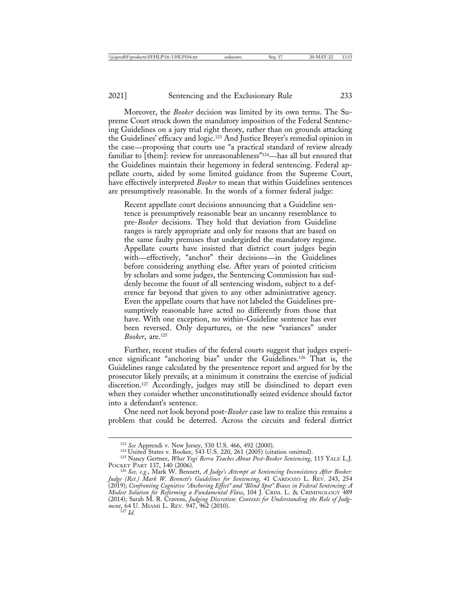Moreover, the *Booker* decision was limited by its own terms. The Supreme Court struck down the mandatory imposition of the Federal Sentencing Guidelines on a jury trial right theory, rather than on grounds attacking the Guidelines' efficacy and logic.123 And Justice Breyer's remedial opinion in the case—proposing that courts use "a practical standard of review already familiar to [them]: review for unreasonableness"124—has all but ensured that the Guidelines maintain their hegemony in federal sentencing. Federal appellate courts, aided by some limited guidance from the Supreme Court, have effectively interpreted *Booker* to mean that within Guidelines sentences are presumptively reasonable. In the words of a former federal judge:

Recent appellate court decisions announcing that a Guideline sentence is presumptively reasonable bear an uncanny resemblance to pre-*Booker* decisions. They hold that deviation from Guideline ranges is rarely appropriate and only for reasons that are based on the same faulty premises that undergirded the mandatory regime. Appellate courts have insisted that district court judges begin with—effectively, "anchor" their decisions—in the Guidelines before considering anything else. After years of pointed criticism by scholars and some judges, the Sentencing Commission has suddenly become the fount of all sentencing wisdom, subject to a deference far beyond that given to any other administrative agency. Even the appellate courts that have not labeled the Guidelines presumptively reasonable have acted no differently from those that have. With one exception, no within-Guideline sentence has ever been reversed. Only departures, or the new "variances" under *Booker*, are.125

Further, recent studies of the federal courts suggest that judges experience significant "anchoring bias" under the Guidelines.126 That is, the Guidelines range calculated by the presentence report and argued for by the prosecutor likely prevails; at a minimum it constrains the exercise of judicial discretion.127 Accordingly, judges may still be disinclined to depart even when they consider whether unconstitutionally seized evidence should factor into a defendant's sentence.

One need not look beyond post-*Booker* case law to realize this remains a problem that could be deterred. Across the circuits and federal district

<sup>&</sup>lt;sup>123</sup> See Apprendi v. New Jersey, 530 U.S. 466, 492 (2000).<br><sup>124</sup> United States v. Booker, 543 U.S. 220, 261 (2005) (citation omitted).<br><sup>125</sup> Nancy Gertner, *What Yogi Berra Teaches About Post-Booker Sentencing*, 115 YALE

POCKET PART 137, 140 (2006). <sup>126</sup> *See, e.g.*, Mark W. Bennett, *A Judge's Attempt at Sentencing Inconsistency After Booker: Judge (Ret.) Mark W. Bennett's Guidelines for Sentencing*, 41 CARDOZO L. REV. 243, 254 (2019); *Confronting Cognitive "Anchoring Effect" and "Blind Spot" Biases in Federal Sentencing: A Modest Solution for Reforming a Fundamental Flaw*, 104 J. CRIM. L. & CRIMINOLOGY 489 (2014); Sarah M. R. Cravens, *Judging Discretion: Contexts for Understanding the Role of Judgment*, 64 U. MIAMI L. REV. 947, 962 (2010).<br><sup>127</sup> *Id.*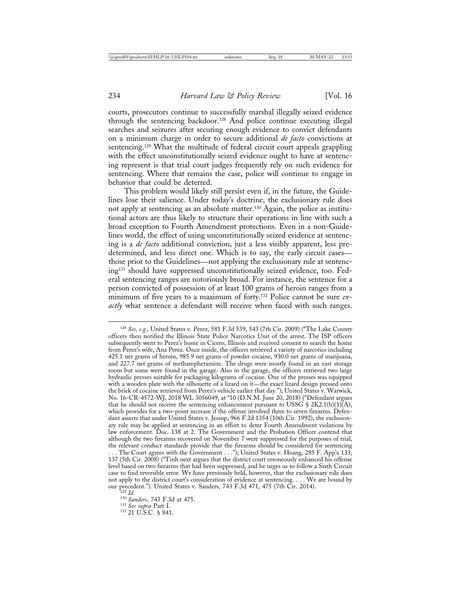courts, prosecutors continue to successfully marshal illegally seized evidence through the sentencing backdoor.128 And police continue executing illegal searches and seizures after securing enough evidence to convict defendants on a minimum charge in order to secure additional *de facto* convictions at sentencing.129 What the multitude of federal circuit court appeals grappling with the effect unconstitutionally seized evidence ought to have at sentencing represent is that trial court judges frequently rely on such evidence for sentencing. Where that remains the case, police will continue to engage in behavior that could be deterred.

This problem would likely still persist even if, in the future, the Guidelines lose their salience. Under today's doctrine, the exclusionary rule does not apply at sentencing as an absolute matter.130 Again, the police as institutional actors are thus likely to structure their operations in line with such a broad exception to Fourth Amendment protections. Even in a non-Guidelines world, the effect of using unconstitutionally seized evidence at sentencing is a *de facto* additional conviction, just a less visibly apparent, less predetermined, and less direct one. Which is to say, the early circuit cases those prior to the Guidelines—not applying the exclusionary rule at sentencing131 should have suppressed unconstitutionally seized evidence, too. Federal sentencing ranges are notoriously broad. For instance, the sentence for a person convicted of possession of at least 100 grams of heroin ranges from a minimum of five years to a maximum of forty.132 Police cannot be sure *exactly* what sentence a defendant will receive when faced with such ranges.

<sup>128</sup> *See, e.g.,* United States v. Perez, 581 F.3d 539, 543 (7th Cir. 2009) ("The Lake County officers then notified the Illinois State Police Narcotics Unit of the arrest. The ISP officers subsequently went to Perez's home in Cicero, Illinois and received consent to search the home from Perez's wife, Ana Perez. Once inside, the officers retrieved a variety of narcotics including 425.1 net grams of heroin, 985.9 net grams of powder cocaine, 930.0 net grams of marijuana, and 227.7 net grams of methamphetamine. The drugs were mostly found in an east storage room but some were found in the garage. Also in the garage, the officers retrieved two large hydraulic presses suitable for packaging kilograms of cocaine. One of the presses was equipped with a wooden plate with the silhouette of a lizard on it—the exact lizard design pressed onto the brick of cocaine retrieved from Perez's vehicle earlier that day."); United States v. Warwick, No. 16-CR-4572-WJ, 2018 WL 3056049, at \*10 (D.N.M. June 20, 2018) ("Defendant argues that he should not receive the sentencing enhancement pursuant to USSG § 2K2.1(b)(1)(A), which provides for a two-point increase if the offense involved three to seven firearms. Defendant asserts that under United States v. Jessup, 966 F.2d 1354 (10th Cir. 1992), the exclusionary rule may be applied at sentencing in an effort to deter Fourth Amendment violations by law enforcement. Doc. 138 at 2. The Government and the Probation Officer contend that although the two firearms recovered on November 7 were suppressed for the purposes of trial, the relevant conduct standards provide that the firearms should be considered for sentencing . . . The Court agrees with the Government . . ."); United States v. Hoang, 285 F. App'x 133, 137 (5th Cir. 2008) ("Tinh next argues that the district court erroneously enhanced his offense level based on two firearms that had been suppressed, and he urges us to follow a Sixth Circuit case to find reversible error. We have previously held, however, that the exclusionary rule does not apply to the district court's consideration of evidence at sentencing. . . . We are bound by our precedent."). United States v. Sanders, 743 F.3d 471, 475 (7th Cir. 2014).<br>
<sup>130</sup> *Sanders*, 743 F.3d at 475.<br>
<sup>131</sup> *See supra* Part I.<br>
<sup>132</sup> 21 U.S.C. § 841.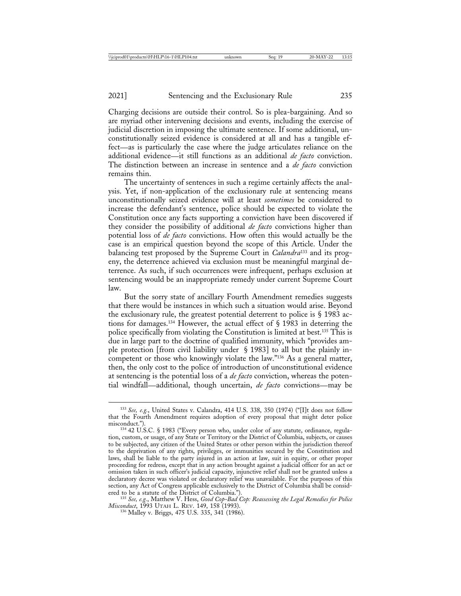Charging decisions are outside their control. So is plea-bargaining. And so are myriad other intervening decisions and events, including the exercise of judicial discretion in imposing the ultimate sentence. If some additional, unconstitutionally seized evidence is considered at all and has a tangible effect—as is particularly the case where the judge articulates reliance on the additional evidence—it still functions as an additional *de facto* conviction. The distinction between an increase in sentence and a *de facto* conviction remains thin.

The uncertainty of sentences in such a regime certainly affects the analysis. Yet, if non-application of the exclusionary rule at sentencing means unconstitutionally seized evidence will at least *sometimes* be considered to increase the defendant's sentence, police should be expected to violate the Constitution once any facts supporting a conviction have been discovered if they consider the possibility of additional *de facto* convictions higher than potential loss of *de facto* convictions. How often this would actually be the case is an empirical question beyond the scope of this Article. Under the balancing test proposed by the Supreme Court in *Calandra*133 and its progeny, the deterrence achieved via exclusion must be meaningful marginal deterrence. As such, if such occurrences were infrequent, perhaps exclusion at sentencing would be an inappropriate remedy under current Supreme Court law.

But the sorry state of ancillary Fourth Amendment remedies suggests that there would be instances in which such a situation would arise. Beyond the exclusionary rule, the greatest potential deterrent to police is § 1983 actions for damages.134 However, the actual effect of § 1983 in deterring the police specifically from violating the Constitution is limited at best.135 This is due in large part to the doctrine of qualified immunity, which "provides ample protection [from civil liability under § 1983] to all but the plainly incompetent or those who knowingly violate the law."<sup>136</sup> As a general matter, then, the only cost to the police of introduction of unconstitutional evidence at sentencing is the potential loss of a *de facto* conviction, whereas the potential windfall—additional, though uncertain, *de facto* convictions—may be

<sup>133</sup> *See, e.g.*, United States v. Calandra, 414 U.S. 338, 350 (1974) ("[I]t does not follow that the Fourth Amendment requires adoption of every proposal that might deter police

misconduct.").<br><sup>134</sup> 42 U.S.C. § 1983 ("Every person who, under color of any statute, ordinance, regula-<br>1<sup>34</sup> 42 U.S.C. § 1983 ("Every person who, under color of Columbia subjects, or causes tion, custom, or usage, of any State or Territory or the District of Columbia, subjects, or causes to be subjected, any citizen of the United States or other person within the jurisdiction thereof to the deprivation of any rights, privileges, or immunities secured by the Constitution and laws, shall be liable to the party injured in an action at law, suit in equity, or other proper proceeding for redress, except that in any action brought against a judicial officer for an act or omission taken in such officer's judicial capacity, injunctive relief shall not be granted unless a declaratory decree was violated or declaratory relief was unavailable. For the purposes of this section, any Act of Congress applicable exclusively to the District of Columbia shall be consid-

ered to be a statute of the District of Columbia.").<br><sup>135</sup> *See, e.g.*, Matthew V. Hess, *Good Cop-Bad Cop: Reassessing the Legal Remedies for Police*<br>*Misconduct*, 1993 UTAH L. REV. 149, 158 (1993).

<sup>&</sup>lt;sup>136</sup> Malley v. Briggs, 475 U.S. 335, 341 (1986).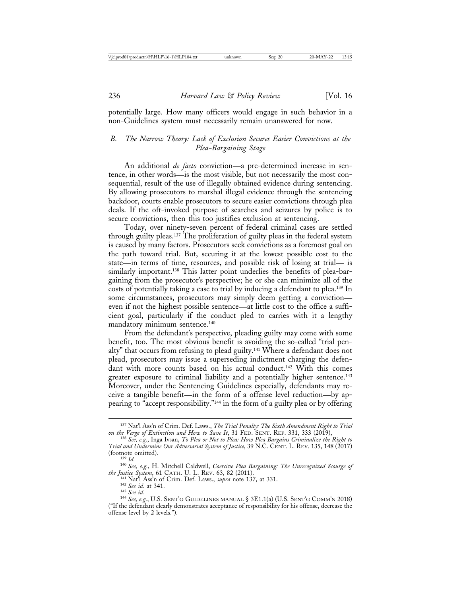potentially large. How many officers would engage in such behavior in a non-Guidelines system must necessarily remain unanswered for now.

# *B. The Narrow Theory: Lack of Exclusion Secures Easier Convictions at the Plea-Bargaining Stage*

An additional *de facto* conviction—a pre-determined increase in sentence, in other words—is the most visible, but not necessarily the most consequential, result of the use of illegally obtained evidence during sentencing. By allowing prosecutors to marshal illegal evidence through the sentencing backdoor, courts enable prosecutors to secure easier convictions through plea deals. If the oft-invoked purpose of searches and seizures by police is to secure convictions, then this too justifies exclusion at sentencing.

Today, over ninety-seven percent of federal criminal cases are settled through guilty pleas.137 The proliferation of guilty pleas in the federal system is caused by many factors. Prosecutors seek convictions as a foremost goal on the path toward trial. But, securing it at the lowest possible cost to the state—in terms of time, resources, and possible risk of losing at trial— is similarly important.<sup>138</sup> This latter point underlies the benefits of plea-bargaining from the prosecutor's perspective; he or she can minimize all of the costs of potentially taking a case to trial by inducing a defendant to plea.139 In some circumstances, prosecutors may simply deem getting a conviction even if not the highest possible sentence—at little cost to the office a sufficient goal, particularly if the conduct pled to carries with it a lengthy mandatory minimum sentence.140

From the defendant's perspective, pleading guilty may come with some benefit, too. The most obvious benefit is avoiding the so-called "trial penalty" that occurs from refusing to plead guilty.141 Where a defendant does not plead, prosecutors may issue a superseding indictment charging the defendant with more counts based on his actual conduct.142 With this comes greater exposure to criminal liability and a potentially higher sentence.<sup>143</sup> Moreover, under the Sentencing Guidelines especially, defendants may receive a tangible benefit—in the form of a offense level reduction—by appearing to "accept responsibility."144 in the form of a guilty plea or by offering

<sup>137</sup> Nat'l Ass'n of Crim. Def. Laws., *The Trial Penalty: The Sixth Amendment Right to Trial on the Verge of Extinction and How to Save It*, 31 FED. SENT. REP. 331, 333 (2019), <sup>138</sup> *See, e.g.*, Inga Ivsan, *To Plea or Not to Plea: How Plea Bargains Criminalize the Right to*

*Trial and Undermine Our Adversarial System of Justice*, 39 N.C. CENT. L. REV. 135, 148 (2017)

<sup>(</sup>footnote omitted). <sup>139</sup> *Id.* <sup>140</sup> *See, e.g.*, H. Mitchell Caldwell, *Coercive Plea Bargaining: The Unrecognized Scourge of*

<sup>&</sup>lt;sup>141</sup> Nat<sup>'</sup>l Ass'n of Crim. Def. Laws., *supra* note 137, at 331.<br><sup>142</sup> See id. at 341.<br><sup>143</sup> See id. **143** See id. CHALC SENT'G GUIDELINES MANUAL § 3E1.1(a) (U.S. SENT'G COMM'N 2018) ("If the defendant clearly demonstrates acceptance of responsibility for his offense, decrease the offense level by 2 levels.").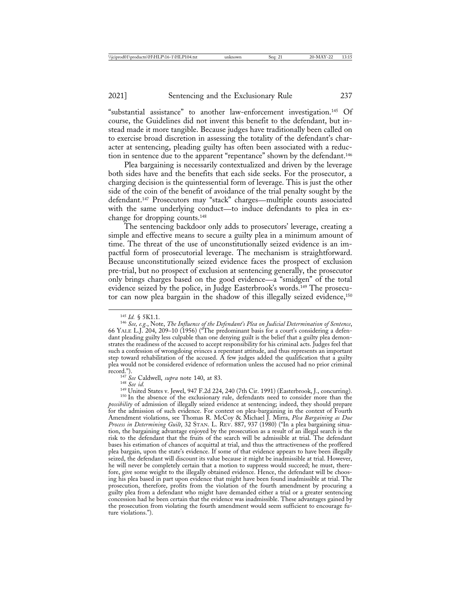"substantial assistance" to another law-enforcement investigation.145 Of course, the Guidelines did not invent this benefit to the defendant, but instead made it more tangible. Because judges have traditionally been called on to exercise broad discretion in assessing the totality of the defendant's character at sentencing, pleading guilty has often been associated with a reduction in sentence due to the apparent "repentance" shown by the defendant.<sup>146</sup>

Plea bargaining is necessarily contextualized and driven by the leverage both sides have and the benefits that each side seeks. For the prosecutor, a charging decision is the quintessential form of leverage. This is just the other side of the coin of the benefit of avoidance of the trial penalty sought by the defendant.147 Prosecutors may "stack" charges—multiple counts associated with the same underlying conduct—to induce defendants to plea in exchange for dropping counts.148

The sentencing backdoor only adds to prosecutors' leverage, creating a simple and effective means to secure a guilty plea in a minimum amount of time. The threat of the use of unconstitutionally seized evidence is an impactful form of prosecutorial leverage. The mechanism is straightforward. Because unconstitutionally seized evidence faces the prospect of exclusion pre-trial, but no prospect of exclusion at sentencing generally, the prosecutor only brings charges based on the good evidence—a "smidgen" of the total evidence seized by the police, in Judge Easterbrook's words.149 The prosecutor can now plea bargain in the shadow of this illegally seized evidence,<sup>150</sup>

<sup>&</sup>lt;sup>145</sup> Id. § 5K1.1.<br><sup>146</sup> See, e.g., Note, *The Influence of the Defendant's Plea on Judicial Determination of Sentence*, 66 YALE L.J. 204, 209–10 (1956) ("The predominant basis for a court's considering a defendant pleading guilty less culpable than one denying guilt is the belief that a guilty plea demonstrates the readiness of the accused to accept responsibility for his criminal acts. Judges feel that such a confession of wrongdoing evinces a repentant attitude, and thus represents an important step toward rehabilitation of the accused. A few judges added the qualification that a guilty plea would not be considered evidence of reformation unless the accused had no prior criminal record.").<br>
<sup>147</sup> See Caldwell, *supra* note 140, at 83.<br>
<sup>148</sup> United States v. Jewel, 947 F.2d 224, 240 (7th Cir. 1991) (Easterbrook, J., concurring).<br>
<sup>149</sup> United States v. Jewel, 947 F.2d 224, 240 (7th Cir. 1991) (Eas

*possibility* of admission of illegally seized evidence at sentencing; indeed, they should prepare for the admission of such evidence. For context on plea-bargaining in the context of Fourth Amendment violations, see Thomas R. McCoy & Michael J. Mirra, *Plea Bargaining as Due Process in Determining Guilt*, 32 STAN. L. REV. 887, 937 (1980) ("In a plea bargaining situation, the bargaining advantage enjoyed by the prosecution as a result of an illegal search is the risk to the defendant that the fruits of the search will be admissible at trial. The defendant bases his estimation of chances of acquittal at trial, and thus the attractiveness of the proffered plea bargain, upon the state's evidence. If some of that evidence appears to have been illegally seized, the defendant will discount its value because it might be inadmissible at trial. However, he will never be completely certain that a motion to suppress would succeed; he must, therefore, give some weight to the illegally obtained evidence. Hence, the defendant will be choosing his plea based in part upon evidence that might have been found inadmissible at trial. The prosecution, therefore, profits from the violation of the fourth amendment by procuring a guilty plea from a defendant who might have demanded either a trial or a greater sentencing concession had he been certain that the evidence was inadmissible. These advantages gained by the prosecution from violating the fourth amendment would seem sufficient to encourage future violations.").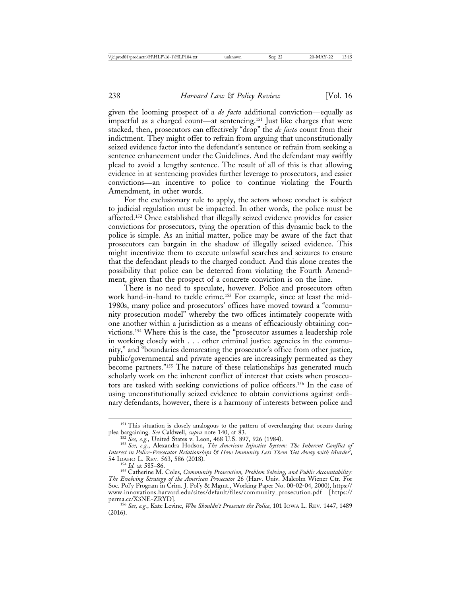given the looming prospect of a *de facto* additional conviction—equally as impactful as a charged count—at sentencing.151 Just like charges that were stacked, then, prosecutors can effectively "drop" the *de facto* count from their indictment. They might offer to refrain from arguing that unconstitutionally seized evidence factor into the defendant's sentence or refrain from seeking a sentence enhancement under the Guidelines. And the defendant may swiftly plead to avoid a lengthy sentence. The result of all of this is that allowing evidence in at sentencing provides further leverage to prosecutors, and easier convictions—an incentive to police to continue violating the Fourth Amendment, in other words.

For the exclusionary rule to apply, the actors whose conduct is subject to judicial regulation must be impacted. In other words, the police must be affected.152 Once established that illegally seized evidence provides for easier convictions for prosecutors, tying the operation of this dynamic back to the police is simple. As an initial matter, police may be aware of the fact that prosecutors can bargain in the shadow of illegally seized evidence. This might incentivize them to execute unlawful searches and seizures to ensure that the defendant pleads to the charged conduct. And this alone creates the possibility that police can be deterred from violating the Fourth Amendment, given that the prospect of a concrete conviction is on the line.

There is no need to speculate, however. Police and prosecutors often work hand-in-hand to tackle crime.153 For example, since at least the mid-1980s, many police and prosecutors' offices have moved toward a "community prosecution model" whereby the two offices intimately cooperate with one another within a jurisdiction as a means of efficaciously obtaining convictions.154 Where this is the case, the "prosecutor assumes a leadership role in working closely with . . . other criminal justice agencies in the community," and "boundaries demarcating the prosecutor's office from other justice, public/governmental and private agencies are increasingly permeated as they become partners."155 The nature of these relationships has generated much scholarly work on the inherent conflict of interest that exists when prosecutors are tasked with seeking convictions of police officers.156 In the case of using unconstitutionally seized evidence to obtain convictions against ordinary defendants, however, there is a harmony of interests between police and

<sup>&</sup>lt;sup>151</sup> This situation is closely analogous to the pattern of overcharging that occurs during plea bargaining. *See* Caldwell, *supra* note 140, at 83.

<sup>&</sup>lt;sup>152</sup> See, e.g., United States v. Leon, 468 U.S. 897, 926 (1984).<br><sup>153</sup> See, e.g., Alexandra Hodson, *The American Injustice System: The Inherent Conflict of Interest in Police-Prosecutor Relationships & How Immunity Lets Them 'Get Away with Murder'*,

<sup>&</sup>lt;sup>154</sup> Id. at 585–86.<br><sup>155</sup> Catherine M. Coles, *Community Prosecution, Problem Solving, and Public Accountability: The Evolving Strategy of the American Prosecutor* 26 (Harv. Univ. Malcolm Wiener Ctr. For Soc. Pol'y Program in Crim. J. Pol'y & Mgmt., Working Paper No. 00-02-04, 2000), https:// www.innovations.harvard.edu/sites/default/files/community\_prosecution.pdf [https:// perma.cc/X3NE-ZRYD]. <sup>156</sup> *See, e.g.*, Kate Levine, *Who Shouldn't Prosecute the Police*, 101 IOWA L. REV. 1447, 1489

<sup>(2016).</sup>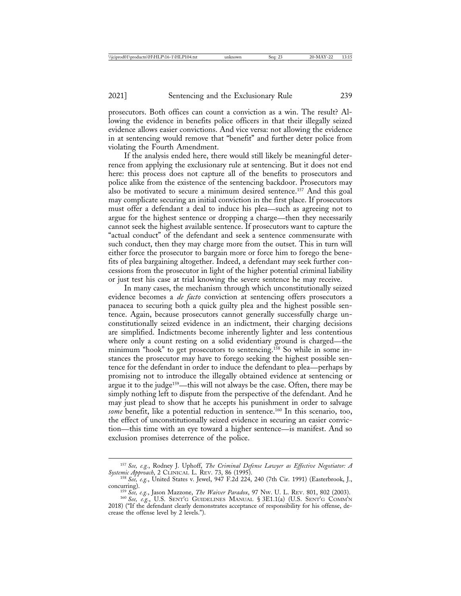prosecutors. Both offices can count a conviction as a win. The result? Allowing the evidence in benefits police officers in that their illegally seized evidence allows easier convictions. And vice versa: not allowing the evidence in at sentencing would remove that "benefit" and further deter police from violating the Fourth Amendment.

If the analysis ended here, there would still likely be meaningful deterrence from applying the exclusionary rule at sentencing. But it does not end here: this process does not capture all of the benefits to prosecutors and police alike from the existence of the sentencing backdoor. Prosecutors may also be motivated to secure a minimum desired sentence.157 And this goal may complicate securing an initial conviction in the first place. If prosecutors must offer a defendant a deal to induce his plea—such as agreeing not to argue for the highest sentence or dropping a charge—then they necessarily cannot seek the highest available sentence. If prosecutors want to capture the "actual conduct" of the defendant and seek a sentence commensurate with such conduct, then they may charge more from the outset. This in turn will either force the prosecutor to bargain more or force him to forego the benefits of plea bargaining altogether. Indeed, a defendant may seek further concessions from the prosecutor in light of the higher potential criminal liability or just test his case at trial knowing the severe sentence he may receive.

In many cases, the mechanism through which unconstitutionally seized evidence becomes a *de facto* conviction at sentencing offers prosecutors a panacea to securing both a quick guilty plea and the highest possible sentence. Again, because prosecutors cannot generally successfully charge unconstitutionally seized evidence in an indictment, their charging decisions are simplified. Indictments become inherently lighter and less contentious where only a count resting on a solid evidentiary ground is charged—the minimum "hook" to get prosecutors to sentencing.158 So while in some instances the prosecutor may have to forego seeking the highest possible sentence for the defendant in order to induce the defendant to plea—perhaps by promising not to introduce the illegally obtained evidence at sentencing or argue it to the judge<sup>159</sup>—this will not always be the case. Often, there may be simply nothing left to dispute from the perspective of the defendant. And he may just plead to show that he accepts his punishment in order to salvage *some* benefit, like a potential reduction in sentence.<sup>160</sup> In this scenario, too, the effect of unconstitutionally seized evidence in securing an easier conviction—this time with an eye toward a higher sentence—is manifest. And so exclusion promises deterrence of the police.

<sup>157</sup> *See, e.g.*, Rodney J. Uphoff, *The Criminal Defense Lawyer as Effective Negotiator: A Systemic Approach*, 2 CLINICAL L. REV. 73, 86 (1995). <sup>158</sup> *See, e.g.*, United States v. Jewel, 947 F.2d 224, 240 (7th Cir. 1991) (Easterbrook, J.,

concurring). <sup>159</sup> *See, e.g.*, Jason Mazzone, *The Waiver Paradox*, 97 NW. U. L. REV. 801, 802 (2003). <sup>160</sup> *See, e.g.*, U.S. SENT'G GUIDELINES MANUAL § 3E1.1(a) (U.S. SENT'G COMM'N 2018) ("If the defendant clearly demonstrates acceptance of responsibility for his offense, decrease the offense level by 2 levels.").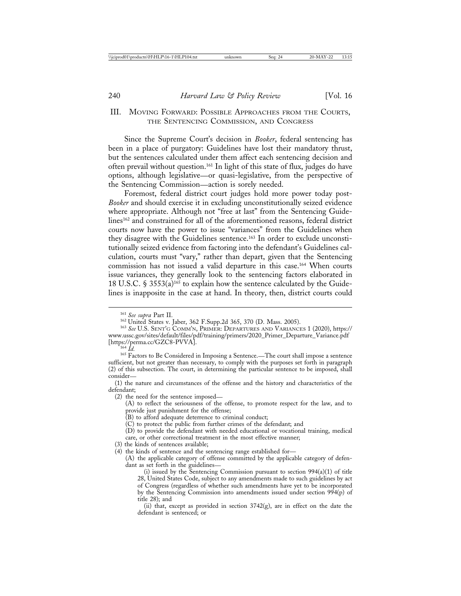# III. MOVING FORWARD: POSSIBLE APPROACHES FROM THE COURTS, THE SENTENCING COMMISSION, AND CONGRESS

Since the Supreme Court's decision in *Booker*, federal sentencing has been in a place of purgatory: Guidelines have lost their mandatory thrust, but the sentences calculated under them affect each sentencing decision and often prevail without question.161 In light of this state of flux, judges do have options, although legislative—or quasi-legislative, from the perspective of the Sentencing Commission—action is sorely needed.

Foremost, federal district court judges hold more power today post-*Booker* and should exercise it in excluding unconstitutionally seized evidence where appropriate. Although not "free at last" from the Sentencing Guidelines<sup>162</sup> and constrained for all of the aforementioned reasons, federal district courts now have the power to issue "variances" from the Guidelines when they disagree with the Guidelines sentence.163 In order to exclude unconstitutionally seized evidence from factoring into the defendant's Guidelines calculation, courts must "vary," rather than depart, given that the Sentencing commission has not issued a valid departure in this case.164 When courts issue variances, they generally look to the sentencing factors elaborated in 18 U.S.C. § 3553(a)<sup>165</sup> to explain how the sentence calculated by the Guidelines is inapposite in the case at hand. In theory, then, district courts could

(2) the need for the sentence imposed—

(A) to reflect the seriousness of the offense, to promote respect for the law, and to provide just punishment for the offense;

(B) to afford adequate deterrence to criminal conduct;

(C) to protect the public from further crimes of the defendant; and

(D) to provide the defendant with needed educational or vocational training, medical care, or other correctional treatment in the most effective manner;

(3) the kinds of sentences available;

(4) the kinds of sentence and the sentencing range established for—

(A) the applicable category of offense committed by the applicable category of defendant as set forth in the guidelines—

(ii) that, except as provided in section  $3742(g)$ , are in effect on the date the defendant is sentenced; or

<sup>161</sup> *See supra* Part II. <sup>162</sup> United States v. Jaber, 362 F.Supp.2d 365, 370 (D. Mass. 2005). <sup>163</sup> *See* U.S. SENT'G COMM'N, PRIMER: DEPARTURES AND VARIANCES 1 (2020), https:// www.ussc.gov/sites/default/files/pdf/training/primers/2020\_Primer\_Departure\_Variance.pdf

our permanent of the considered in Imposing a Sentence.—The court shall impose a sentence<sup>165</sup> Factors to Be Considered in Imposing a Sentence.—The court shall impose a sentence sufficient, but not greater than necessary, to comply with the purposes set forth in paragraph (2) of this subsection. The court, in determining the particular sentence to be imposed, shall consider—

<sup>(1)</sup> the nature and circumstances of the offense and the history and characteristics of the defendant;

<sup>(</sup>i) issued by the Sentencing Commission pursuant to section 994(a)(1) of title 28, United States Code, subject to any amendments made to such guidelines by act of Congress (regardless of whether such amendments have yet to be incorporated by the Sentencing Commission into amendments issued under section 994(p) of title 28); and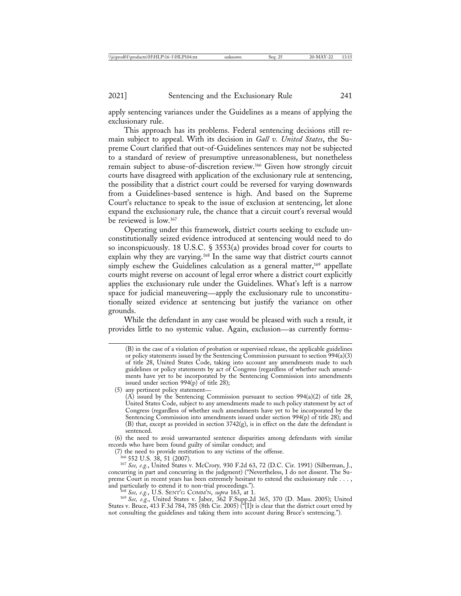apply sentencing variances under the Guidelines as a means of applying the exclusionary rule.

This approach has its problems. Federal sentencing decisions still remain subject to appeal. With its decision in *Gall v. United States*, the Supreme Court clarified that out-of-Guidelines sentences may not be subjected to a standard of review of presumptive unreasonableness, but nonetheless remain subject to abuse-of-discretion review.166 Given how strongly circuit courts have disagreed with application of the exclusionary rule at sentencing, the possibility that a district court could be reversed for varying downwards from a Guidelines-based sentence is high. And based on the Supreme Court's reluctance to speak to the issue of exclusion at sentencing, let alone expand the exclusionary rule, the chance that a circuit court's reversal would be reviewed is low.167

Operating under this framework, district courts seeking to exclude unconstitutionally seized evidence introduced at sentencing would need to do so inconspicuously. 18 U.S.C. § 3553(a) provides broad cover for courts to explain why they are varying.<sup>168</sup> In the same way that district courts cannot simply eschew the Guidelines calculation as a general matter,<sup>169</sup> appellate courts might reverse on account of legal error where a district court explicitly applies the exclusionary rule under the Guidelines. What's left is a narrow space for judicial maneuvering—apply the exclusionary rule to unconstitutionally seized evidence at sentencing but justify the variance on other grounds.

While the defendant in any case would be pleased with such a result, it provides little to no systemic value. Again, exclusion—as currently formu-

(5) any pertinent policy statement— (A) issued by the Sentencing Commission pursuant to section  $994(a)(2)$  of title 28, United States Code, subject to any amendments made to such policy statement by act of Congress (regardless of whether such amendments have yet to be incorporated by the Sentencing Commission into amendments issued under section 994(p) of title 28); and (B) that, except as provided in section  $3742(g)$ , is in effect on the date the defendant is sentenced.

(6) the need to avoid unwarranted sentence disparities among defendants with similar records who have been found guilty of similar conduct; and

(7) the need to provide restitution to any victims of the offense. <sup>166</sup> 552 U.S. 38, 51 (2007). <sup>167</sup> *See, e.g.*, United States v. McCrory*,* 930 F.2d 63, 72 (D.C. Cir. 1991) (Silberman, J., concurring in part and concurring in the judgment) ("Nevertheless, I do not dissent. The Supreme Court in recent years has been extremely hesitant to extend the exclusionary rule . . . , and particularly to extend it to non-trial proceedings.").

and particularly to extend it to non-trial proceedings."). <sup>168</sup> *See, e.g.*, U.S. SENT'G COMM'N, *supra* 163, at 1. <sup>169</sup> *See, e.g.*, United States v. Jaber, 362 F.Supp.2d 365, 370 (D. Mass. 2005); United States v. Bruce, 413 F.3d 784, 785 (8th Cir. 2005) ("[I]t is clear that the district court erred by not consulting the guidelines and taking them into account during Bruce's sentencing.").

<sup>(</sup>B) in the case of a violation of probation or supervised release, the applicable guidelines or policy statements issued by the Sentencing Commission pursuant to section 994(a)(3) of title 28, United States Code, taking into account any amendments made to such guidelines or policy statements by act of Congress (regardless of whether such amendments have yet to be incorporated by the Sentencing Commission into amendments issued under section  $994(p)$  of title 28);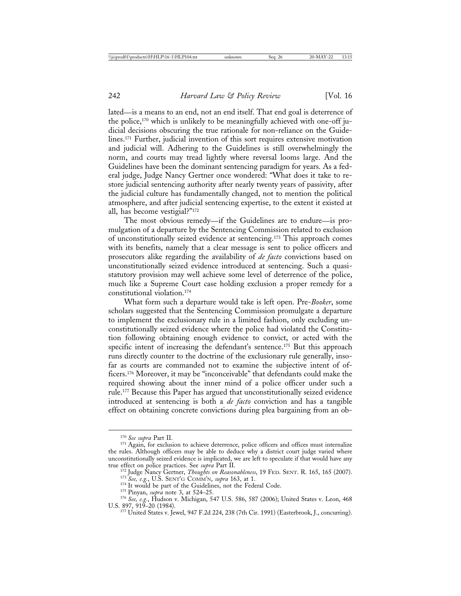lated—is a means to an end, not an end itself. That end goal is deterrence of the police,170 which is unlikely to be meaningfully achieved with one-off judicial decisions obscuring the true rationale for non-reliance on the Guidelines.171 Further, judicial invention of this sort requires extensive motivation and judicial will. Adhering to the Guidelines is still overwhelmingly the norm, and courts may tread lightly where reversal looms large. And the Guidelines have been the dominant sentencing paradigm for years. As a federal judge, Judge Nancy Gertner once wondered: "What does it take to restore judicial sentencing authority after nearly twenty years of passivity, after the judicial culture has fundamentally changed, not to mention the political atmosphere, and after judicial sentencing expertise, to the extent it existed at all, has become vestigial?"172

The most obvious remedy—if the Guidelines are to endure—is promulgation of a departure by the Sentencing Commission related to exclusion of unconstitutionally seized evidence at sentencing.173 This approach comes with its benefits, namely that a clear message is sent to police officers and prosecutors alike regarding the availability of *de facto* convictions based on unconstitutionally seized evidence introduced at sentencing. Such a quasistatutory provision may well achieve some level of deterrence of the police, much like a Supreme Court case holding exclusion a proper remedy for a constitutional violation.174

What form such a departure would take is left open. Pre-*Booker*, some scholars suggested that the Sentencing Commission promulgate a departure to implement the exclusionary rule in a limited fashion, only excluding unconstitutionally seized evidence where the police had violated the Constitution following obtaining enough evidence to convict, or acted with the specific intent of increasing the defendant's sentence.<sup>175</sup> But this approach runs directly counter to the doctrine of the exclusionary rule generally, insofar as courts are commanded not to examine the subjective intent of officers.176 Moreover, it may be "inconceivable" that defendants could make the required showing about the inner mind of a police officer under such a rule.177 Because this Paper has argued that unconstitutionally seized evidence introduced at sentencing is both a *de facto* conviction and has a tangible effect on obtaining concrete convictions during plea bargaining from an ob-

<sup>&</sup>lt;sup>170</sup> *See supra* Part II.<br><sup>171</sup> Again, for exclusion to achieve deterrence, police officers and offices must internalize the rules. Although officers may be able to deduce why a district court judge varied where unconstitutionally seized evidence is implicated, we are left to speculate if that would have any

true effect on police practices. See *supra* Part II.<br><sup>172</sup> Judge Nancy Gertner, *Thoughts on Reasonableness*, 19 FED. SENT. R. 165, 165 (2007).<br><sup>173</sup> See, e.g., U.S. SENT'G COMM'N, *supra* 163, at 1.<br><sup>174</sup> It would be par

<sup>176</sup> See, e.g., Hudson v. Michigan, 547 U.S. 586, 587 (2006); United States v. Leon, 468<br>U.S. 897, 919–20 (1984).<br><sup>177</sup> United States v. Jewel, 947 F.2d 224, 238 (7th Cir. 1991) (Easterbrook, J., concurring).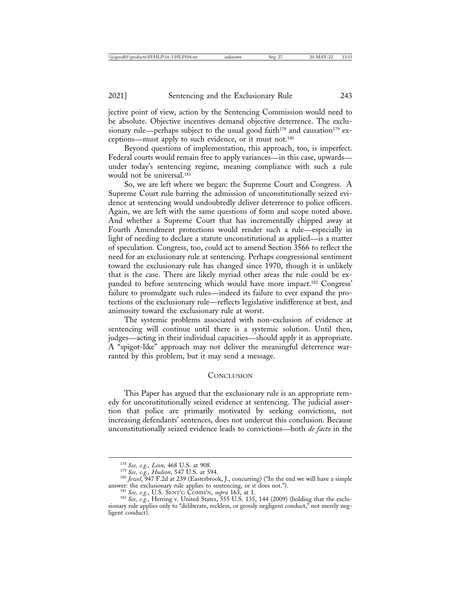jective point of view, action by the Sentencing Commission would need to be absolute. Objective incentives demand objective deterrence. The exclusionary rule—perhaps subject to the usual good faith<sup>178</sup> and causation<sup>179</sup> exceptions—must apply to such evidence, or it must not.180

Beyond questions of implementation, this approach, too, is imperfect. Federal courts would remain free to apply variances—in this case, upwards under today's sentencing regime, meaning compliance with such a rule would not be universal.<sup>181</sup>

So, we are left where we began: the Supreme Court and Congress. A Supreme Court rule barring the admission of unconstitutionally seized evidence at sentencing would undoubtedly deliver deterrence to police officers. Again, we are left with the same questions of form and scope noted above. And whether a Supreme Court that has incrementally chipped away at Fourth Amendment protections would render such a rule—especially in light of needing to declare a statute unconstitutional as applied—is a matter of speculation. Congress, too, could act to amend Section 3566 to reflect the need for an exclusionary rule at sentencing. Perhaps congressional sentiment toward the exclusionary rule has changed since 1970, though it is unlikely that is the case. There are likely myriad other areas the rule could be expanded to before sentencing which would have more impact.182 Congress' failure to promulgate such rules—indeed its failure to ever expand the protections of the exclusionary rule—reflects legislative indifference at best, and animosity toward the exclusionary rule at worst.

The systemic problems associated with non-exclusion of evidence at sentencing will continue until there is a systemic solution. Until then, judges—acting in their individual capacities—should apply it as appropriate. A "spigot-like" approach may not deliver the meaningful deterrence warranted by this problem, but it may send a message.

#### **CONCLUSION**

This Paper has argued that the exclusionary rule is an appropriate remedy for unconstitutionally seized evidence at sentencing. The judicial assertion that police are primarily motivated by seeking convictions, not increasing defendants' sentences, does not undercut this conclusion. Because unconstitutionally seized evidence leads to convictions—both *de facto* in the

<sup>&</sup>lt;sup>178</sup> *See, e.g., Leon*, 468 U.S. at 908.<br><sup>179</sup> *See, e.g., Hudson*, 547 U.S. at 594.<br><sup>180</sup> *Jewel*, 947 F.2d at 239 (Easterbrook, J., concurring) ("In the end we will have a simple answer: the exclusionary rule applies to

<sup>&</sup>lt;sup>181</sup> See, e.g., U.S. SENT'G COMM'N, *supra* 163, at 1.<br><sup>182</sup> See, e.g., Herring v. United States, 555 U.S. 135, 144 (2009) (holding that the exclusionary rule applies only to "deliberate, reckless, or grossly negligent conduct," not merely negligent conduct).